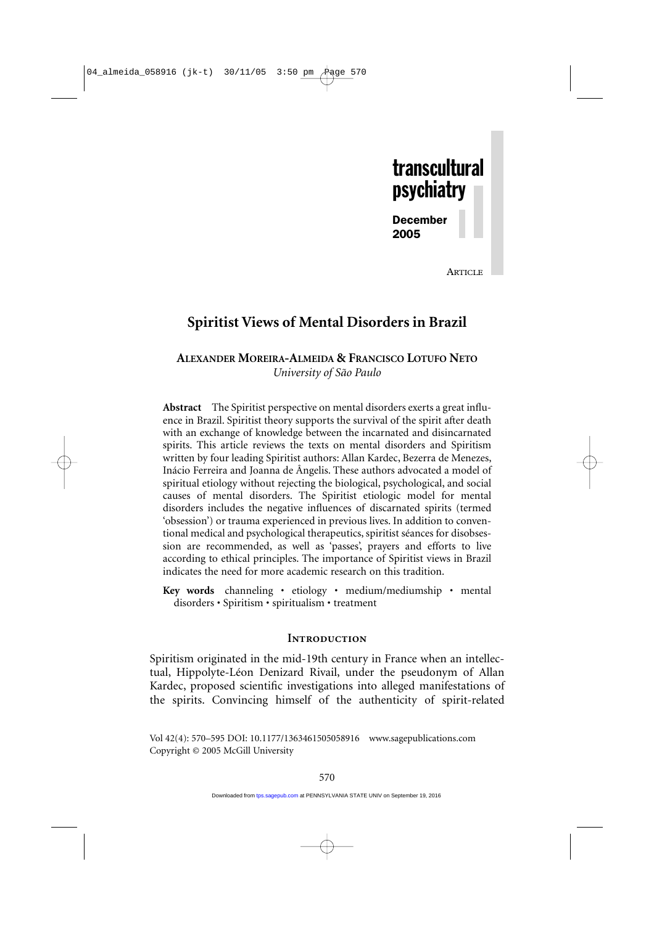# transcultural psychiatry

December 2005

**ARTICLE** 

# **Spiritist Views of Mental Disorders in Brazil**

# **ALEXANDER MOREIRA-ALMEIDA & FRANCISCO LOTUFO NETO** *University of São Paulo*

**Abstract** The Spiritist perspective on mental disorders exerts a great influence in Brazil. Spiritist theory supports the survival of the spirit after death with an exchange of knowledge between the incarnated and disincarnated spirits. This article reviews the texts on mental disorders and Spiritism written by four leading Spiritist authors: Allan Kardec, Bezerra de Menezes, Inácio Ferreira and Joanna de Ângelis. These authors advocated a model of spiritual etiology without rejecting the biological, psychological, and social causes of mental disorders. The Spiritist etiologic model for mental disorders includes the negative influences of discarnated spirits (termed 'obsession') or trauma experienced in previous lives. In addition to conventional medical and psychological therapeutics, spiritist séances for disobsession are recommended, as well as 'passes', prayers and efforts to live according to ethical principles. The importance of Spiritist views in Brazil indicates the need for more academic research on this tradition.

**Key words** channeling • etiology • medium/mediumship • mental disorders • Spiritism • spiritualism • treatment

#### **INTRODUCTION**

Spiritism originated in the mid-19th century in France when an intellectual, Hippolyte-Léon Denizard Rivail, under the pseudonym of Allan Kardec, proposed scientific investigations into alleged manifestations of the spirits. Convincing himself of the authenticity of spirit-related

Vol 42(4): 570–595 DOI: 10.1177/1363461505058916 www.sagepublications.com Copyright © 2005 McGill University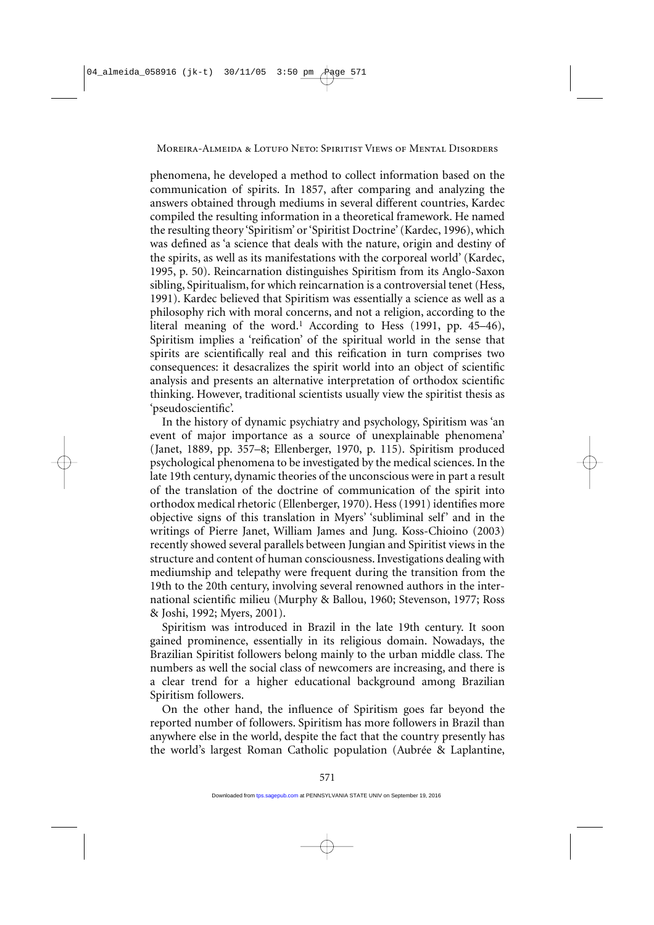phenomena, he developed a method to collect information based on the communication of spirits. In 1857, after comparing and analyzing the answers obtained through mediums in several different countries, Kardec compiled the resulting information in a theoretical framework. He named the resulting theory 'Spiritism' or 'Spiritist Doctrine' (Kardec, 1996), which was defined as 'a science that deals with the nature, origin and destiny of the spirits, as well as its manifestations with the corporeal world' (Kardec, 1995, p. 50). Reincarnation distinguishes Spiritism from its Anglo-Saxon sibling, Spiritualism, for which reincarnation is a controversial tenet (Hess, 1991). Kardec believed that Spiritism was essentially a science as well as a philosophy rich with moral concerns, and not a religion, according to the literal meaning of the word.<sup>1</sup> According to Hess (1991, pp. 45–46), Spiritism implies a 'reification' of the spiritual world in the sense that spirits are scientifically real and this reification in turn comprises two consequences: it desacralizes the spirit world into an object of scientific analysis and presents an alternative interpretation of orthodox scientific thinking. However, traditional scientists usually view the spiritist thesis as 'pseudoscientific'.

In the history of dynamic psychiatry and psychology, Spiritism was 'an event of major importance as a source of unexplainable phenomena' (Janet, 1889, pp. 357–8; Ellenberger, 1970, p. 115). Spiritism produced psychological phenomena to be investigated by the medical sciences. In the late 19th century, dynamic theories of the unconscious were in part a result of the translation of the doctrine of communication of the spirit into orthodox medical rhetoric (Ellenberger, 1970). Hess (1991) identifies more objective signs of this translation in Myers' 'subliminal self' and in the writings of Pierre Janet, William James and Jung. Koss-Chioino (2003) recently showed several parallels between Jungian and Spiritist views in the structure and content of human consciousness. Investigations dealing with mediumship and telepathy were frequent during the transition from the 19th to the 20th century, involving several renowned authors in the international scientific milieu (Murphy & Ballou, 1960; Stevenson, 1977; Ross & Joshi, 1992; Myers, 2001).

Spiritism was introduced in Brazil in the late 19th century. It soon gained prominence, essentially in its religious domain. Nowadays, the Brazilian Spiritist followers belong mainly to the urban middle class. The numbers as well the social class of newcomers are increasing, and there is a clear trend for a higher educational background among Brazilian Spiritism followers.

On the other hand, the influence of Spiritism goes far beyond the reported number of followers. Spiritism has more followers in Brazil than anywhere else in the world, despite the fact that the country presently has the world's largest Roman Catholic population (Aubrée & Laplantine,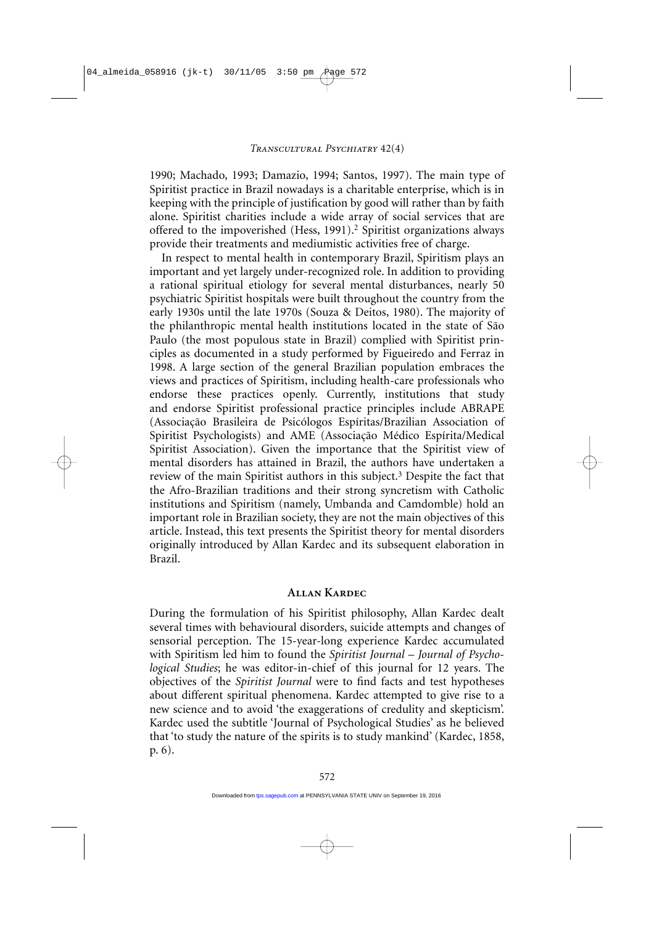1990; Machado, 1993; Damazio, 1994; Santos, 1997). The main type of Spiritist practice in Brazil nowadays is a charitable enterprise, which is in keeping with the principle of justification by good will rather than by faith alone. Spiritist charities include a wide array of social services that are offered to the impoverished (Hess, 1991).2 Spiritist organizations always provide their treatments and mediumistic activities free of charge.

In respect to mental health in contemporary Brazil, Spiritism plays an important and yet largely under-recognized role. In addition to providing a rational spiritual etiology for several mental disturbances, nearly 50 psychiatric Spiritist hospitals were built throughout the country from the early 1930s until the late 1970s (Souza & Deitos, 1980). The majority of the philanthropic mental health institutions located in the state of São Paulo (the most populous state in Brazil) complied with Spiritist principles as documented in a study performed by Figueiredo and Ferraz in 1998. A large section of the general Brazilian population embraces the views and practices of Spiritism, including health-care professionals who endorse these practices openly. Currently, institutions that study and endorse Spiritist professional practice principles include ABRAPE (Associação Brasileira de Psicólogos Espíritas/Brazilian Association of Spiritist Psychologists) and AME (Associação Médico Espírita/Medical Spiritist Association). Given the importance that the Spiritist view of mental disorders has attained in Brazil, the authors have undertaken a review of the main Spiritist authors in this subject.3 Despite the fact that the Afro-Brazilian traditions and their strong syncretism with Catholic institutions and Spiritism (namely, Umbanda and Camdomble) hold an important role in Brazilian society, they are not the main objectives of this article. Instead, this text presents the Spiritist theory for mental disorders originally introduced by Allan Kardec and its subsequent elaboration in Brazil.

### **Allan Kardec**

During the formulation of his Spiritist philosophy, Allan Kardec dealt several times with behavioural disorders, suicide attempts and changes of sensorial perception. The 15-year-long experience Kardec accumulated with Spiritism led him to found the *Spiritist Journal – Journal of Psychological Studies*; he was editor-in-chief of this journal for 12 years. The objectives of the *Spiritist Journal* were to find facts and test hypotheses about different spiritual phenomena. Kardec attempted to give rise to a new science and to avoid 'the exaggerations of credulity and skepticism'. Kardec used the subtitle 'Journal of Psychological Studies' as he believed that 'to study the nature of the spirits is to study mankind' (Kardec, 1858, p. 6).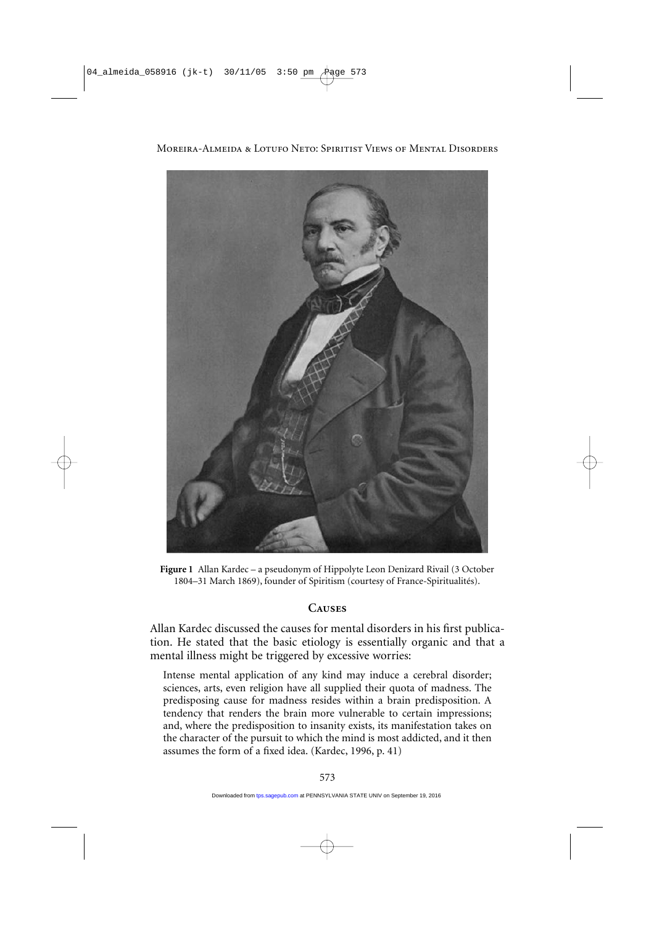

**Figure 1** Allan Kardec – a pseudonym of Hippolyte Leon Denizard Rivail (3 October 1804–31 March 1869), founder of Spiritism (courtesy of France-Spiritualités).

# **Causes**

Allan Kardec discussed the causes for mental disorders in his first publication. He stated that the basic etiology is essentially organic and that a mental illness might be triggered by excessive worries:

Intense mental application of any kind may induce a cerebral disorder; sciences, arts, even religion have all supplied their quota of madness. The predisposing cause for madness resides within a brain predisposition. A tendency that renders the brain more vulnerable to certain impressions; and, where the predisposition to insanity exists, its manifestation takes on the character of the pursuit to which the mind is most addicted, and it then assumes the form of a fixed idea. (Kardec, 1996, p. 41)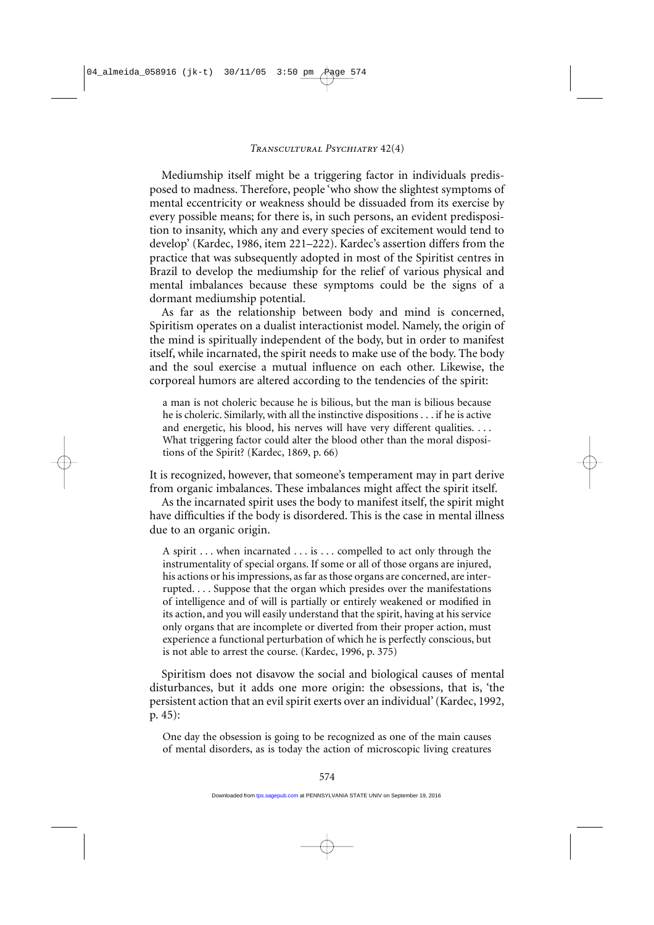Mediumship itself might be a triggering factor in individuals predisposed to madness. Therefore, people 'who show the slightest symptoms of mental eccentricity or weakness should be dissuaded from its exercise by every possible means; for there is, in such persons, an evident predisposition to insanity, which any and every species of excitement would tend to develop' (Kardec, 1986, item 221–222). Kardec's assertion differs from the practice that was subsequently adopted in most of the Spiritist centres in Brazil to develop the mediumship for the relief of various physical and mental imbalances because these symptoms could be the signs of a dormant mediumship potential.

As far as the relationship between body and mind is concerned, Spiritism operates on a dualist interactionist model. Namely, the origin of the mind is spiritually independent of the body, but in order to manifest itself, while incarnated, the spirit needs to make use of the body. The body and the soul exercise a mutual influence on each other. Likewise, the corporeal humors are altered according to the tendencies of the spirit:

a man is not choleric because he is bilious, but the man is bilious because he is choleric. Similarly, with all the instinctive dispositions . . . if he is active and energetic, his blood, his nerves will have very different qualities. . . . What triggering factor could alter the blood other than the moral dispositions of the Spirit? (Kardec, 1869, p. 66)

It is recognized, however, that someone's temperament may in part derive from organic imbalances. These imbalances might affect the spirit itself.

As the incarnated spirit uses the body to manifest itself, the spirit might have difficulties if the body is disordered. This is the case in mental illness due to an organic origin.

A spirit . . . when incarnated . . . is . . . compelled to act only through the instrumentality of special organs. If some or all of those organs are injured, his actions or his impressions, as far as those organs are concerned, are interrupted. . . . Suppose that the organ which presides over the manifestations of intelligence and of will is partially or entirely weakened or modified in its action, and you will easily understand that the spirit, having at his service only organs that are incomplete or diverted from their proper action, must experience a functional perturbation of which he is perfectly conscious, but is not able to arrest the course. (Kardec, 1996, p. 375)

Spiritism does not disavow the social and biological causes of mental disturbances, but it adds one more origin: the obsessions, that is, 'the persistent action that an evil spirit exerts over an individual' (Kardec, 1992, p. 45):

One day the obsession is going to be recognized as one of the main causes of mental disorders, as is today the action of microscopic living creatures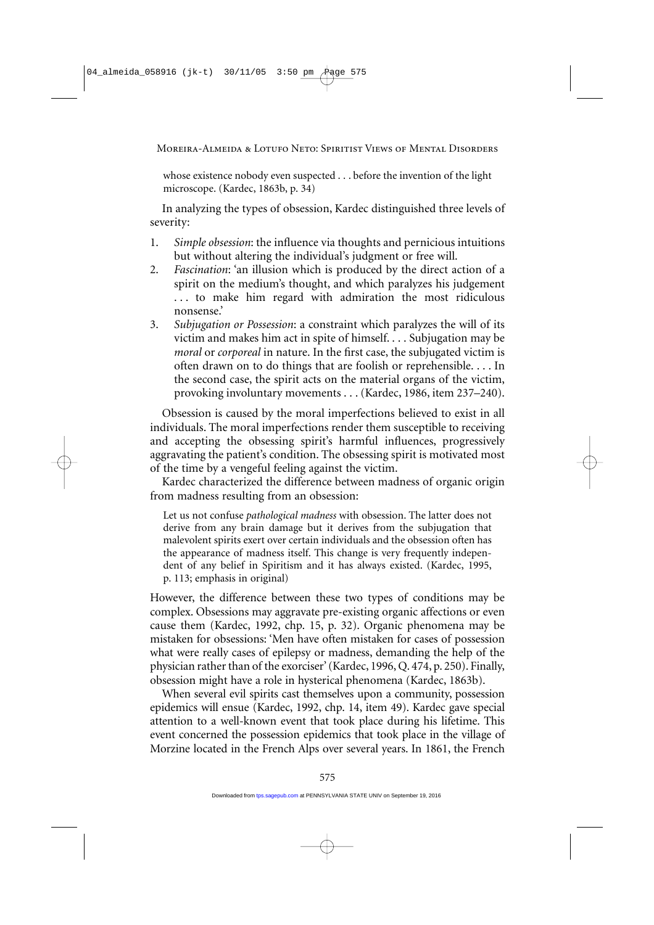whose existence nobody even suspected . . . before the invention of the light microscope. (Kardec, 1863b, p. 34)

In analyzing the types of obsession, Kardec distinguished three levels of severity:

- 1. *Simple obsession*: the influence via thoughts and pernicious intuitions but without altering the individual's judgment or free will.
- 2. *Fascination*: 'an illusion which is produced by the direct action of a spirit on the medium's thought, and which paralyzes his judgement . . . to make him regard with admiration the most ridiculous nonsense.'
- 3. *Subjugation or Possession*: a constraint which paralyzes the will of its victim and makes him act in spite of himself. . . . Subjugation may be *moral* or *corporeal* in nature. In the first case, the subjugated victim is often drawn on to do things that are foolish or reprehensible. . . . In the second case, the spirit acts on the material organs of the victim, provoking involuntary movements . . . (Kardec, 1986, item 237–240).

Obsession is caused by the moral imperfections believed to exist in all individuals. The moral imperfections render them susceptible to receiving and accepting the obsessing spirit's harmful influences, progressively aggravating the patient's condition. The obsessing spirit is motivated most of the time by a vengeful feeling against the victim.

Kardec characterized the difference between madness of organic origin from madness resulting from an obsession:

Let us not confuse *pathological madness* with obsession. The latter does not derive from any brain damage but it derives from the subjugation that malevolent spirits exert over certain individuals and the obsession often has the appearance of madness itself. This change is very frequently independent of any belief in Spiritism and it has always existed. (Kardec, 1995, p. 113; emphasis in original)

However, the difference between these two types of conditions may be complex. Obsessions may aggravate pre-existing organic affections or even cause them (Kardec, 1992, chp. 15, p. 32). Organic phenomena may be mistaken for obsessions: 'Men have often mistaken for cases of possession what were really cases of epilepsy or madness, demanding the help of the physician rather than of the exorciser' (Kardec, 1996, Q. 474, p. 250). Finally, obsession might have a role in hysterical phenomena (Kardec, 1863b).

When several evil spirits cast themselves upon a community, possession epidemics will ensue (Kardec, 1992, chp. 14, item 49). Kardec gave special attention to a well-known event that took place during his lifetime. This event concerned the possession epidemics that took place in the village of Morzine located in the French Alps over several years. In 1861, the French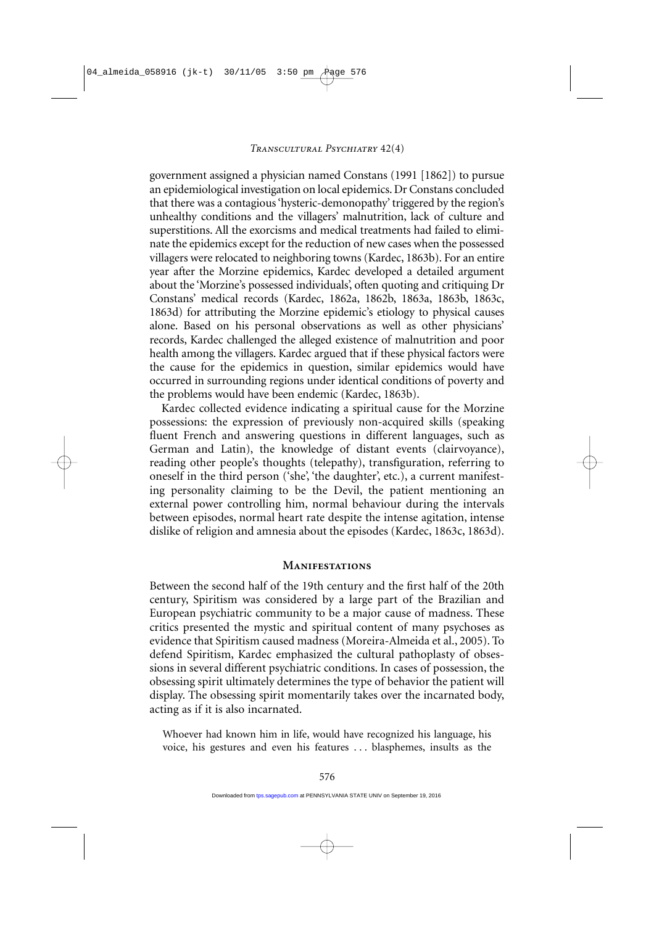government assigned a physician named Constans (1991 [1862]) to pursue an epidemiological investigation on local epidemics. Dr Constans concluded that there was a contagious 'hysteric-demonopathy' triggered by the region's unhealthy conditions and the villagers' malnutrition, lack of culture and superstitions. All the exorcisms and medical treatments had failed to eliminate the epidemics except for the reduction of new cases when the possessed villagers were relocated to neighboring towns (Kardec, 1863b). For an entire year after the Morzine epidemics, Kardec developed a detailed argument about the 'Morzine's possessed individuals', often quoting and critiquing Dr Constans' medical records (Kardec, 1862a, 1862b, 1863a, 1863b, 1863c, 1863d) for attributing the Morzine epidemic's etiology to physical causes alone. Based on his personal observations as well as other physicians' records, Kardec challenged the alleged existence of malnutrition and poor health among the villagers. Kardec argued that if these physical factors were the cause for the epidemics in question, similar epidemics would have occurred in surrounding regions under identical conditions of poverty and the problems would have been endemic (Kardec, 1863b).

Kardec collected evidence indicating a spiritual cause for the Morzine possessions: the expression of previously non-acquired skills (speaking fluent French and answering questions in different languages, such as German and Latin), the knowledge of distant events (clairvoyance), reading other people's thoughts (telepathy), transfiguration, referring to oneself in the third person ('she', 'the daughter', etc.), a current manifesting personality claiming to be the Devil, the patient mentioning an external power controlling him, normal behaviour during the intervals between episodes, normal heart rate despite the intense agitation, intense dislike of religion and amnesia about the episodes (Kardec, 1863c, 1863d).

#### **Manifestations**

Between the second half of the 19th century and the first half of the 20th century, Spiritism was considered by a large part of the Brazilian and European psychiatric community to be a major cause of madness. These critics presented the mystic and spiritual content of many psychoses as evidence that Spiritism caused madness (Moreira-Almeida et al., 2005). To defend Spiritism, Kardec emphasized the cultural pathoplasty of obsessions in several different psychiatric conditions. In cases of possession, the obsessing spirit ultimately determines the type of behavior the patient will display. The obsessing spirit momentarily takes over the incarnated body, acting as if it is also incarnated.

Whoever had known him in life, would have recognized his language, his voice, his gestures and even his features . . . blasphemes, insults as the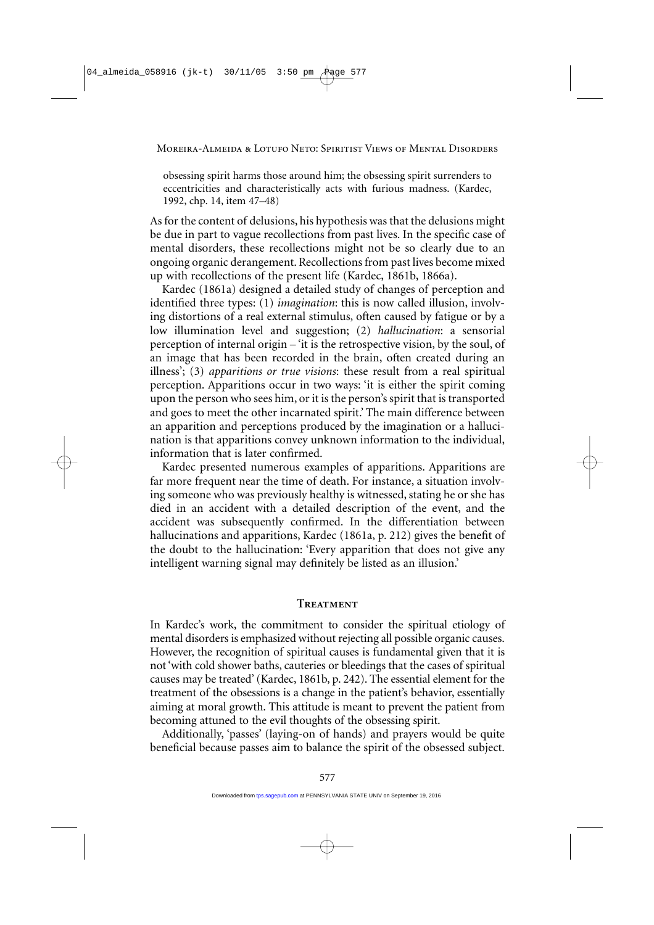obsessing spirit harms those around him; the obsessing spirit surrenders to eccentricities and characteristically acts with furious madness. (Kardec, 1992, chp. 14, item 47–48)

As for the content of delusions, his hypothesis was that the delusions might be due in part to vague recollections from past lives. In the specific case of mental disorders, these recollections might not be so clearly due to an ongoing organic derangement. Recollections from past lives become mixed up with recollections of the present life (Kardec, 1861b, 1866a).

Kardec (1861a) designed a detailed study of changes of perception and identified three types: (1) *imagination*: this is now called illusion, involving distortions of a real external stimulus, often caused by fatigue or by a low illumination level and suggestion; (2) *hallucination*: a sensorial perception of internal origin – 'it is the retrospective vision, by the soul, of an image that has been recorded in the brain, often created during an illness'; (3) *apparitions or true visions*: these result from a real spiritual perception. Apparitions occur in two ways: 'it is either the spirit coming upon the person who sees him, or it is the person's spirit that is transported and goes to meet the other incarnated spirit.' The main difference between an apparition and perceptions produced by the imagination or a hallucination is that apparitions convey unknown information to the individual, information that is later confirmed.

Kardec presented numerous examples of apparitions. Apparitions are far more frequent near the time of death. For instance, a situation involving someone who was previously healthy is witnessed, stating he or she has died in an accident with a detailed description of the event, and the accident was subsequently confirmed. In the differentiation between hallucinations and apparitions, Kardec (1861a, p. 212) gives the benefit of the doubt to the hallucination: 'Every apparition that does not give any intelligent warning signal may definitely be listed as an illusion.'

#### **TREATMENT**

In Kardec's work, the commitment to consider the spiritual etiology of mental disorders is emphasized without rejecting all possible organic causes. However, the recognition of spiritual causes is fundamental given that it is not 'with cold shower baths, cauteries or bleedings that the cases of spiritual causes may be treated' (Kardec, 1861b, p. 242). The essential element for the treatment of the obsessions is a change in the patient's behavior, essentially aiming at moral growth. This attitude is meant to prevent the patient from becoming attuned to the evil thoughts of the obsessing spirit.

Additionally, 'passes' (laying-on of hands) and prayers would be quite beneficial because passes aim to balance the spirit of the obsessed subject.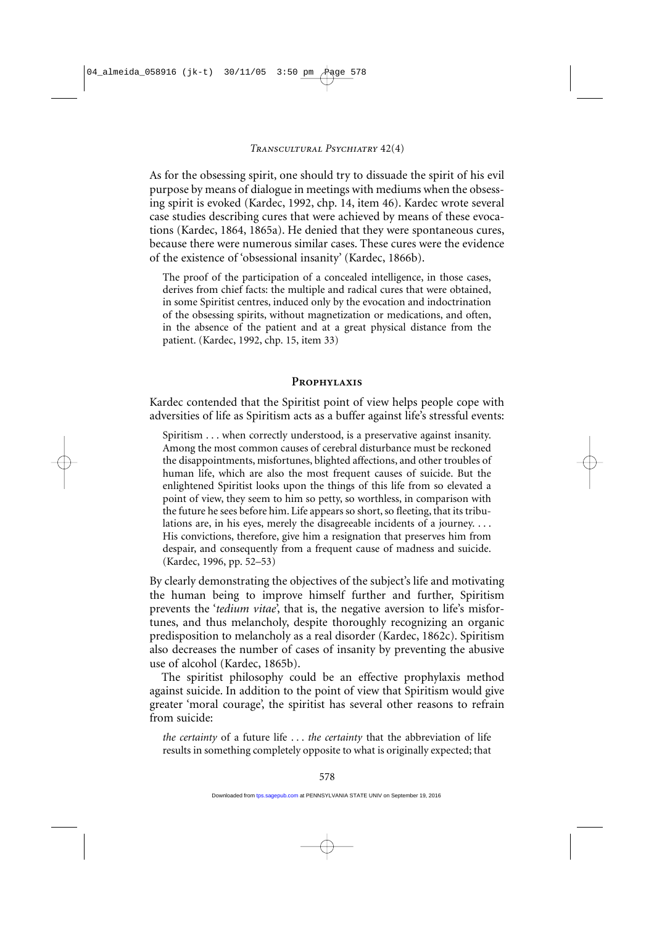As for the obsessing spirit, one should try to dissuade the spirit of his evil purpose by means of dialogue in meetings with mediums when the obsessing spirit is evoked (Kardec, 1992, chp. 14, item 46). Kardec wrote several case studies describing cures that were achieved by means of these evocations (Kardec, 1864, 1865a). He denied that they were spontaneous cures, because there were numerous similar cases. These cures were the evidence of the existence of 'obsessional insanity' (Kardec, 1866b).

The proof of the participation of a concealed intelligence, in those cases, derives from chief facts: the multiple and radical cures that were obtained, in some Spiritist centres, induced only by the evocation and indoctrination of the obsessing spirits, without magnetization or medications, and often, in the absence of the patient and at a great physical distance from the patient. (Kardec, 1992, chp. 15, item 33)

# **Prophylaxis**

Kardec contended that the Spiritist point of view helps people cope with adversities of life as Spiritism acts as a buffer against life's stressful events:

Spiritism . . . when correctly understood, is a preservative against insanity. Among the most common causes of cerebral disturbance must be reckoned the disappointments, misfortunes, blighted affections, and other troubles of human life, which are also the most frequent causes of suicide. But the enlightened Spiritist looks upon the things of this life from so elevated a point of view, they seem to him so petty, so worthless, in comparison with the future he sees before him. Life appears so short, so fleeting, that its tribulations are, in his eyes, merely the disagreeable incidents of a journey. . . . His convictions, therefore, give him a resignation that preserves him from despair, and consequently from a frequent cause of madness and suicide. (Kardec, 1996, pp. 52–53)

By clearly demonstrating the objectives of the subject's life and motivating the human being to improve himself further and further, Spiritism prevents the '*tedium vitae*', that is, the negative aversion to life's misfortunes, and thus melancholy, despite thoroughly recognizing an organic predisposition to melancholy as a real disorder (Kardec, 1862c). Spiritism also decreases the number of cases of insanity by preventing the abusive use of alcohol (Kardec, 1865b).

The spiritist philosophy could be an effective prophylaxis method against suicide. In addition to the point of view that Spiritism would give greater 'moral courage', the spiritist has several other reasons to refrain from suicide:

*the certainty* of a future life . . . *the certainty* that the abbreviation of life results in something completely opposite to what is originally expected; that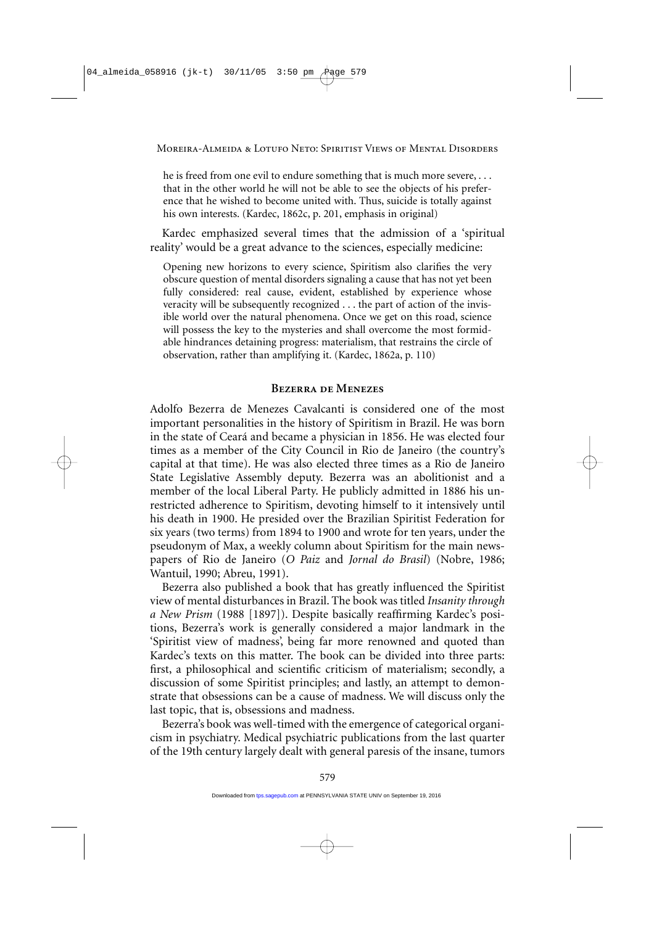he is freed from one evil to endure something that is much more severe, . . . that in the other world he will not be able to see the objects of his preference that he wished to become united with. Thus, suicide is totally against his own interests. (Kardec, 1862c, p. 201, emphasis in original)

Kardec emphasized several times that the admission of a 'spiritual reality' would be a great advance to the sciences, especially medicine:

Opening new horizons to every science, Spiritism also clarifies the very obscure question of mental disorders signaling a cause that has not yet been fully considered: real cause, evident, established by experience whose veracity will be subsequently recognized . . . the part of action of the invisible world over the natural phenomena. Once we get on this road, science will possess the key to the mysteries and shall overcome the most formidable hindrances detaining progress: materialism, that restrains the circle of observation, rather than amplifying it. (Kardec, 1862a, p. 110)

#### **Bezerra de Menezes**

Adolfo Bezerra de Menezes Cavalcanti is considered one of the most important personalities in the history of Spiritism in Brazil. He was born in the state of Ceará and became a physician in 1856. He was elected four times as a member of the City Council in Rio de Janeiro (the country's capital at that time). He was also elected three times as a Rio de Janeiro State Legislative Assembly deputy. Bezerra was an abolitionist and a member of the local Liberal Party. He publicly admitted in 1886 his unrestricted adherence to Spiritism, devoting himself to it intensively until his death in 1900. He presided over the Brazilian Spiritist Federation for six years (two terms) from 1894 to 1900 and wrote for ten years, under the pseudonym of Max, a weekly column about Spiritism for the main newspapers of Rio de Janeiro (*O Paiz* and *Jornal do Brasil*) (Nobre, 1986; Wantuil, 1990; Abreu, 1991).

Bezerra also published a book that has greatly influenced the Spiritist view of mental disturbances in Brazil. The book was titled *Insanity through a New Prism* (1988 [1897]). Despite basically reaffirming Kardec's positions, Bezerra's work is generally considered a major landmark in the 'Spiritist view of madness', being far more renowned and quoted than Kardec's texts on this matter. The book can be divided into three parts: first, a philosophical and scientific criticism of materialism; secondly, a discussion of some Spiritist principles; and lastly, an attempt to demonstrate that obsessions can be a cause of madness. We will discuss only the last topic, that is, obsessions and madness.

Bezerra's book was well-timed with the emergence of categorical organicism in psychiatry. Medical psychiatric publications from the last quarter of the 19th century largely dealt with general paresis of the insane, tumors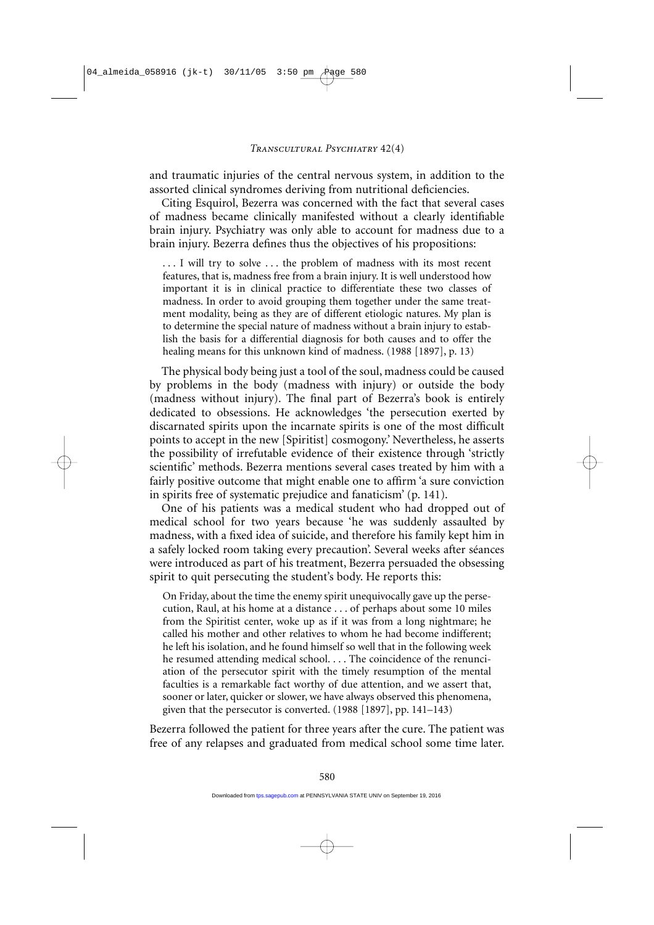and traumatic injuries of the central nervous system, in addition to the assorted clinical syndromes deriving from nutritional deficiencies.

Citing Esquirol, Bezerra was concerned with the fact that several cases of madness became clinically manifested without a clearly identifiable brain injury. Psychiatry was only able to account for madness due to a brain injury. Bezerra defines thus the objectives of his propositions:

... I will try to solve ... the problem of madness with its most recent features, that is, madness free from a brain injury. It is well understood how important it is in clinical practice to differentiate these two classes of madness. In order to avoid grouping them together under the same treatment modality, being as they are of different etiologic natures. My plan is to determine the special nature of madness without a brain injury to establish the basis for a differential diagnosis for both causes and to offer the healing means for this unknown kind of madness. (1988 [1897], p. 13)

The physical body being just a tool of the soul, madness could be caused by problems in the body (madness with injury) or outside the body (madness without injury). The final part of Bezerra's book is entirely dedicated to obsessions. He acknowledges 'the persecution exerted by discarnated spirits upon the incarnate spirits is one of the most difficult points to accept in the new [Spiritist] cosmogony.' Nevertheless, he asserts the possibility of irrefutable evidence of their existence through 'strictly scientific' methods. Bezerra mentions several cases treated by him with a fairly positive outcome that might enable one to affirm 'a sure conviction in spirits free of systematic prejudice and fanaticism' (p. 141).

One of his patients was a medical student who had dropped out of medical school for two years because 'he was suddenly assaulted by madness, with a fixed idea of suicide, and therefore his family kept him in a safely locked room taking every precaution'. Several weeks after séances were introduced as part of his treatment, Bezerra persuaded the obsessing spirit to quit persecuting the student's body. He reports this:

On Friday, about the time the enemy spirit unequivocally gave up the persecution, Raul, at his home at a distance . . . of perhaps about some 10 miles from the Spiritist center, woke up as if it was from a long nightmare; he called his mother and other relatives to whom he had become indifferent; he left his isolation, and he found himself so well that in the following week he resumed attending medical school. . . . The coincidence of the renunciation of the persecutor spirit with the timely resumption of the mental faculties is a remarkable fact worthy of due attention, and we assert that, sooner or later, quicker or slower, we have always observed this phenomena, given that the persecutor is converted. (1988 [1897], pp. 141–143)

Bezerra followed the patient for three years after the cure. The patient was free of any relapses and graduated from medical school some time later.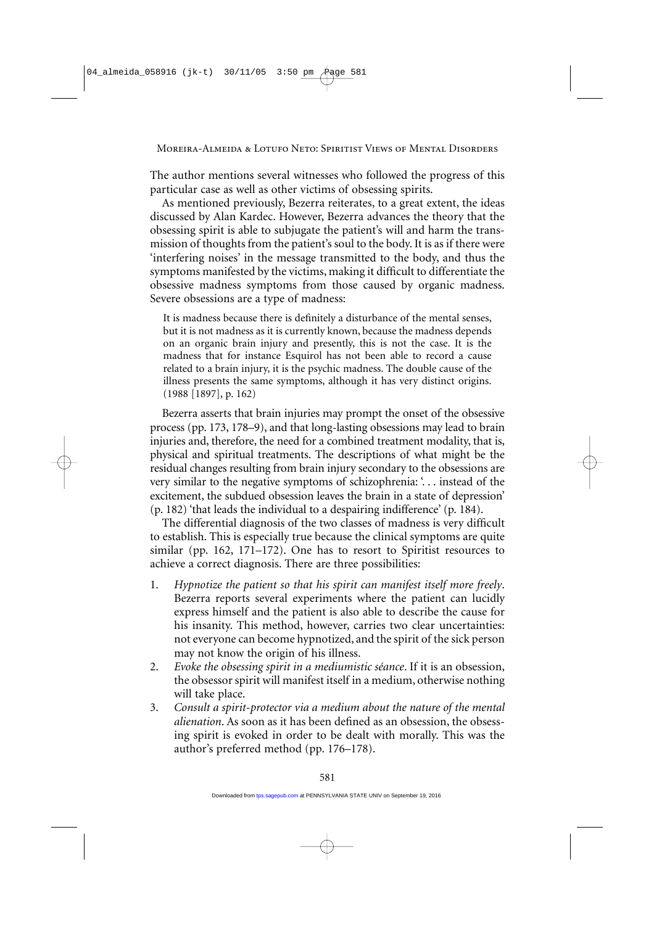The author mentions several witnesses who followed the progress of this particular case as well as other victims of obsessing spirits.

As mentioned previously, Bezerra reiterates, to a great extent, the ideas discussed by Alan Kardec. However, Bezerra advances the theory that the obsessing spirit is able to subjugate the patient's will and harm the transmission of thoughts from the patient's soul to the body. It is as if there were 'interfering noises' in the message transmitted to the body, and thus the symptoms manifested by the victims, making it difficult to differentiate the obsessive madness symptoms from those caused by organic madness. Severe obsessions are a type of madness:

It is madness because there is definitely a disturbance of the mental senses, but it is not madness as it is currently known, because the madness depends on an organic brain injury and presently, this is not the case. It is the madness that for instance Esquirol has not been able to record a cause related to a brain injury, it is the psychic madness. The double cause of the illness presents the same symptoms, although it has very distinct origins. (1988 [1897], p. 162)

Bezerra asserts that brain injuries may prompt the onset of the obsessive process (pp. 173, 178–9), and that long-lasting obsessions may lead to brain injuries and, therefore, the need for a combined treatment modality, that is, physical and spiritual treatments. The descriptions of what might be the residual changes resulting from brain injury secondary to the obsessions are very similar to the negative symptoms of schizophrenia: '. . . instead of the excitement, the subdued obsession leaves the brain in a state of depression' (p. 182) 'that leads the individual to a despairing indifference' (p. 184).

The differential diagnosis of the two classes of madness is very difficult to establish. This is especially true because the clinical symptoms are quite similar (pp. 162, 171–172). One has to resort to Spiritist resources to achieve a correct diagnosis. There are three possibilities:

- 1. *Hypnotize the patient so that his spirit can manifest itself more freely*. Bezerra reports several experiments where the patient can lucidly express himself and the patient is also able to describe the cause for his insanity. This method, however, carries two clear uncertainties: not everyone can become hypnotized, and the spirit of the sick person may not know the origin of his illness.
- 2. *Evoke the obsessing spirit in a mediumistic séance*. If it is an obsession, the obsessor spirit will manifest itself in a medium, otherwise nothing will take place.
- 3. *Consult a spirit-protector via a medium about the nature of the mental alienation*. As soon as it has been defined as an obsession, the obsessing spirit is evoked in order to be dealt with morally. This was the author's preferred method (pp. 176–178).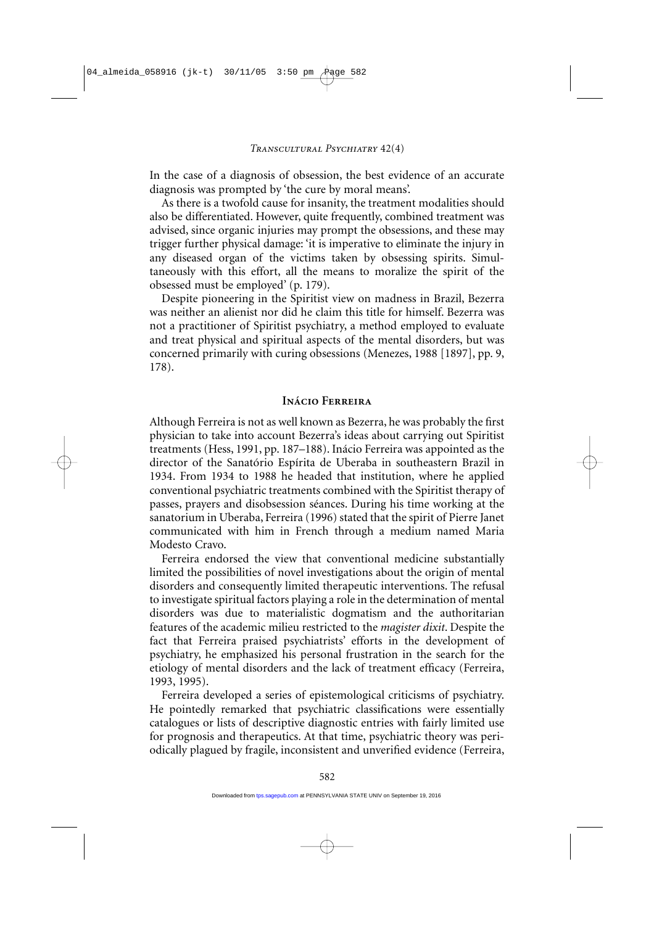In the case of a diagnosis of obsession, the best evidence of an accurate diagnosis was prompted by 'the cure by moral means'.

As there is a twofold cause for insanity, the treatment modalities should also be differentiated. However, quite frequently, combined treatment was advised, since organic injuries may prompt the obsessions, and these may trigger further physical damage: 'it is imperative to eliminate the injury in any diseased organ of the victims taken by obsessing spirits. Simultaneously with this effort, all the means to moralize the spirit of the obsessed must be employed' (p. 179).

Despite pioneering in the Spiritist view on madness in Brazil, Bezerra was neither an alienist nor did he claim this title for himself. Bezerra was not a practitioner of Spiritist psychiatry, a method employed to evaluate and treat physical and spiritual aspects of the mental disorders, but was concerned primarily with curing obsessions (Menezes, 1988 [1897], pp. 9, 178).

# **Inácio Ferreira**

Although Ferreira is not as well known as Bezerra, he was probably the first physician to take into account Bezerra's ideas about carrying out Spiritist treatments (Hess, 1991, pp. 187–188). Inácio Ferreira was appointed as the director of the Sanatório Espírita de Uberaba in southeastern Brazil in 1934. From 1934 to 1988 he headed that institution, where he applied conventional psychiatric treatments combined with the Spiritist therapy of passes, prayers and disobsession séances. During his time working at the sanatorium in Uberaba, Ferreira (1996) stated that the spirit of Pierre Janet communicated with him in French through a medium named Maria Modesto Cravo.

Ferreira endorsed the view that conventional medicine substantially limited the possibilities of novel investigations about the origin of mental disorders and consequently limited therapeutic interventions. The refusal to investigate spiritual factors playing a role in the determination of mental disorders was due to materialistic dogmatism and the authoritarian features of the academic milieu restricted to the *magister dixit*. Despite the fact that Ferreira praised psychiatrists' efforts in the development of psychiatry, he emphasized his personal frustration in the search for the etiology of mental disorders and the lack of treatment efficacy (Ferreira, 1993, 1995).

Ferreira developed a series of epistemological criticisms of psychiatry. He pointedly remarked that psychiatric classifications were essentially catalogues or lists of descriptive diagnostic entries with fairly limited use for prognosis and therapeutics. At that time, psychiatric theory was periodically plagued by fragile, inconsistent and unverified evidence (Ferreira,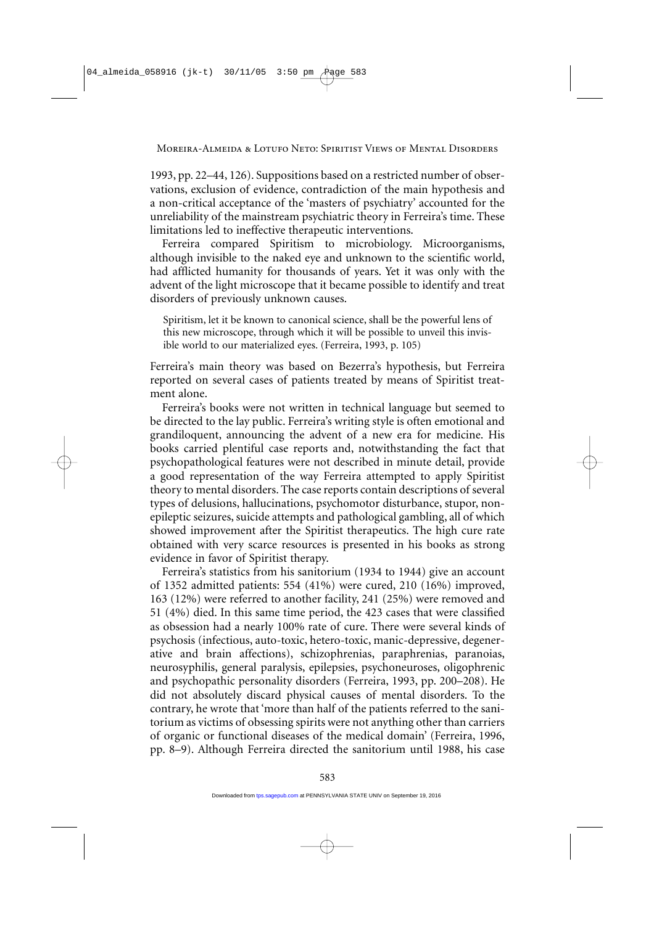1993, pp. 22–44, 126). Suppositions based on a restricted number of observations, exclusion of evidence, contradiction of the main hypothesis and a non-critical acceptance of the 'masters of psychiatry' accounted for the unreliability of the mainstream psychiatric theory in Ferreira's time. These limitations led to ineffective therapeutic interventions.

Ferreira compared Spiritism to microbiology. Microorganisms, although invisible to the naked eye and unknown to the scientific world, had afflicted humanity for thousands of years. Yet it was only with the advent of the light microscope that it became possible to identify and treat disorders of previously unknown causes.

Spiritism, let it be known to canonical science, shall be the powerful lens of this new microscope, through which it will be possible to unveil this invisible world to our materialized eyes. (Ferreira, 1993, p. 105)

Ferreira's main theory was based on Bezerra's hypothesis, but Ferreira reported on several cases of patients treated by means of Spiritist treatment alone.

Ferreira's books were not written in technical language but seemed to be directed to the lay public. Ferreira's writing style is often emotional and grandiloquent, announcing the advent of a new era for medicine. His books carried plentiful case reports and, notwithstanding the fact that psychopathological features were not described in minute detail, provide a good representation of the way Ferreira attempted to apply Spiritist theory to mental disorders. The case reports contain descriptions of several types of delusions, hallucinations, psychomotor disturbance, stupor, nonepileptic seizures, suicide attempts and pathological gambling, all of which showed improvement after the Spiritist therapeutics. The high cure rate obtained with very scarce resources is presented in his books as strong evidence in favor of Spiritist therapy.

Ferreira's statistics from his sanitorium (1934 to 1944) give an account of 1352 admitted patients: 554 (41%) were cured, 210 (16%) improved, 163 (12%) were referred to another facility, 241 (25%) were removed and 51 (4%) died. In this same time period, the 423 cases that were classified as obsession had a nearly 100% rate of cure. There were several kinds of psychosis (infectious, auto-toxic, hetero-toxic, manic-depressive, degenerative and brain affections), schizophrenias, paraphrenias, paranoias, neurosyphilis, general paralysis, epilepsies, psychoneuroses, oligophrenic and psychopathic personality disorders (Ferreira, 1993, pp. 200–208). He did not absolutely discard physical causes of mental disorders. To the contrary, he wrote that 'more than half of the patients referred to the sanitorium as victims of obsessing spirits were not anything other than carriers of organic or functional diseases of the medical domain' (Ferreira, 1996, pp. 8–9). Although Ferreira directed the sanitorium until 1988, his case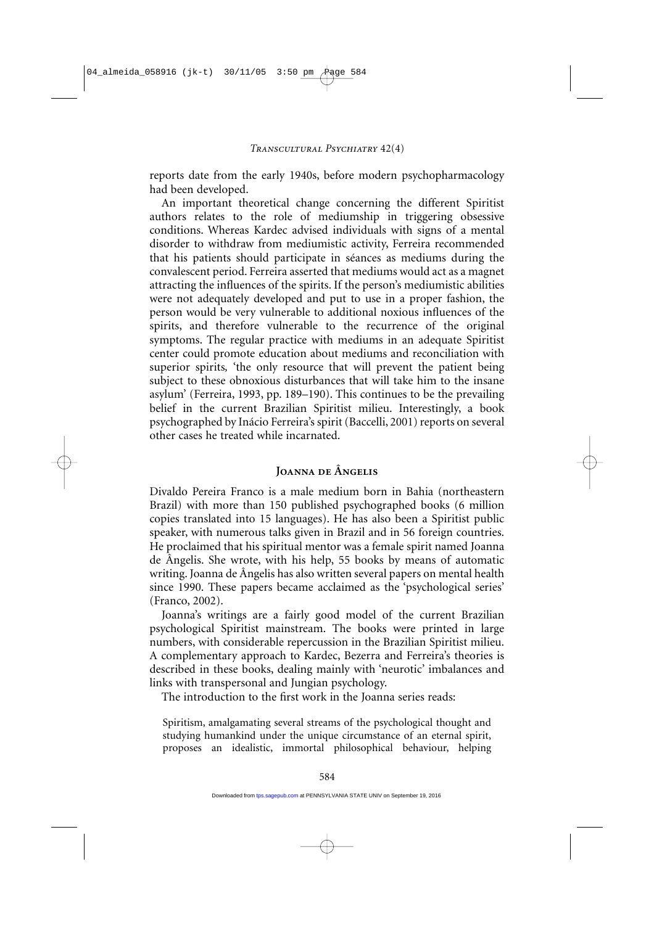reports date from the early 1940s, before modern psychopharmacology had been developed.

An important theoretical change concerning the different Spiritist authors relates to the role of mediumship in triggering obsessive conditions. Whereas Kardec advised individuals with signs of a mental disorder to withdraw from mediumistic activity, Ferreira recommended that his patients should participate in séances as mediums during the convalescent period. Ferreira asserted that mediums would act as a magnet attracting the influences of the spirits. If the person's mediumistic abilities were not adequately developed and put to use in a proper fashion, the person would be very vulnerable to additional noxious influences of the spirits, and therefore vulnerable to the recurrence of the original symptoms. The regular practice with mediums in an adequate Spiritist center could promote education about mediums and reconciliation with superior spirits, 'the only resource that will prevent the patient being subject to these obnoxious disturbances that will take him to the insane asylum' (Ferreira, 1993, pp. 189–190). This continues to be the prevailing belief in the current Brazilian Spiritist milieu. Interestingly, a book psychographed by Inácio Ferreira's spirit (Baccelli, 2001) reports on several other cases he treated while incarnated.

# **Joanna de Ângelis**

Divaldo Pereira Franco is a male medium born in Bahia (northeastern Brazil) with more than 150 published psychographed books (6 million copies translated into 15 languages). He has also been a Spiritist public speaker, with numerous talks given in Brazil and in 56 foreign countries. He proclaimed that his spiritual mentor was a female spirit named Joanna de Ângelis. She wrote, with his help, 55 books by means of automatic writing. Joanna de Ângelis has also written several papers on mental health since 1990. These papers became acclaimed as the 'psychological series' (Franco, 2002).

Joanna's writings are a fairly good model of the current Brazilian psychological Spiritist mainstream. The books were printed in large numbers, with considerable repercussion in the Brazilian Spiritist milieu. A complementary approach to Kardec, Bezerra and Ferreira's theories is described in these books, dealing mainly with 'neurotic' imbalances and links with transpersonal and Jungian psychology.

The introduction to the first work in the Joanna series reads:

Spiritism, amalgamating several streams of the psychological thought and studying humankind under the unique circumstance of an eternal spirit, proposes an idealistic, immortal philosophical behaviour, helping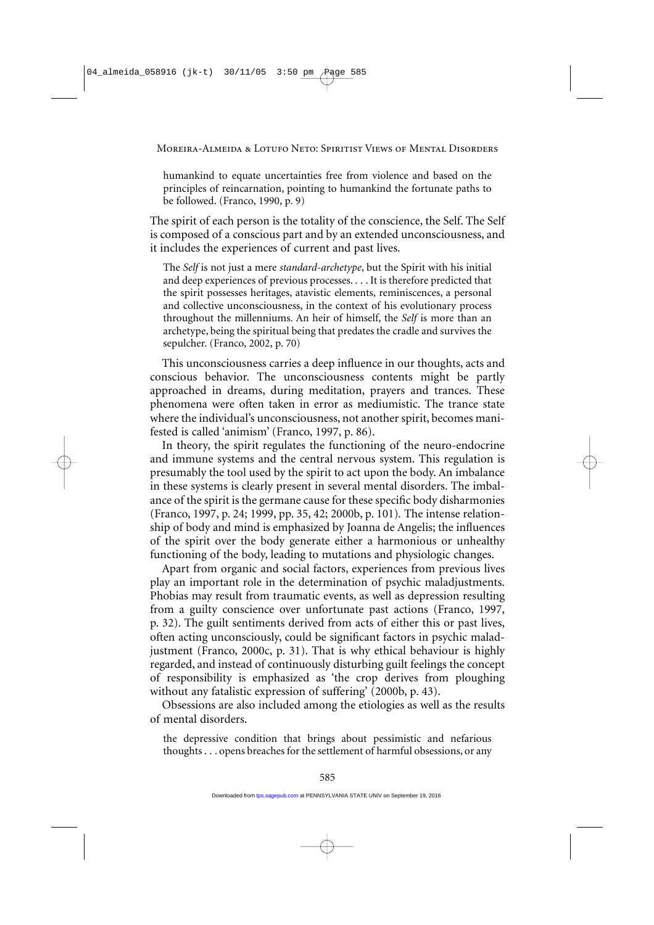humankind to equate uncertainties free from violence and based on the principles of reincarnation, pointing to humankind the fortunate paths to be followed. (Franco, 1990, p. 9)

The spirit of each person is the totality of the conscience, the Self. The Self is composed of a conscious part and by an extended unconsciousness, and it includes the experiences of current and past lives.

The *Self* is not just a mere *standard-archetype*, but the Spirit with his initial and deep experiences of previous processes. . . . It is therefore predicted that the spirit possesses heritages, atavistic elements, reminiscences, a personal and collective unconsciousness, in the context of his evolutionary process throughout the millenniums. An heir of himself, the *Self* is more than an archetype, being the spiritual being that predates the cradle and survives the sepulcher. (Franco, 2002, p. 70)

This unconsciousness carries a deep influence in our thoughts, acts and conscious behavior. The unconsciousness contents might be partly approached in dreams, during meditation, prayers and trances. These phenomena were often taken in error as mediumistic. The trance state where the individual's unconsciousness, not another spirit, becomes manifested is called 'animism' (Franco, 1997, p. 86).

In theory, the spirit regulates the functioning of the neuro-endocrine and immune systems and the central nervous system. This regulation is presumably the tool used by the spirit to act upon the body. An imbalance in these systems is clearly present in several mental disorders. The imbalance of the spirit is the germane cause for these specific body disharmonies (Franco, 1997, p. 24; 1999, pp. 35, 42; 2000b, p. 101)*.* The intense relationship of body and mind is emphasized by Joanna de Angelis; the influences of the spirit over the body generate either a harmonious or unhealthy functioning of the body, leading to mutations and physiologic changes.

Apart from organic and social factors, experiences from previous lives play an important role in the determination of psychic maladjustments. Phobias may result from traumatic events, as well as depression resulting from a guilty conscience over unfortunate past actions (Franco, 1997, p. 32). The guilt sentiments derived from acts of either this or past lives, often acting unconsciously, could be significant factors in psychic maladjustment (Franco, 2000c, p. 31). That is why ethical behaviour is highly regarded, and instead of continuously disturbing guilt feelings the concept of responsibility is emphasized as 'the crop derives from ploughing without any fatalistic expression of suffering' (2000b, p. 43).

Obsessions are also included among the etiologies as well as the results of mental disorders.

the depressive condition that brings about pessimistic and nefarious thoughts . . . opens breaches for the settlement of harmful obsessions, or any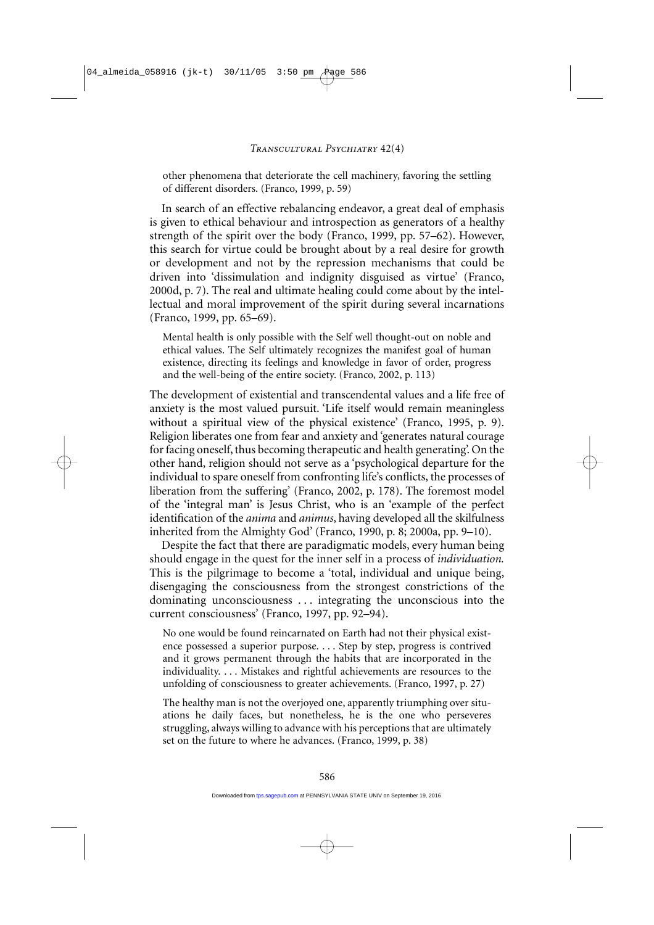other phenomena that deteriorate the cell machinery, favoring the settling of different disorders. (Franco, 1999, p. 59)

In search of an effective rebalancing endeavor, a great deal of emphasis is given to ethical behaviour and introspection as generators of a healthy strength of the spirit over the body (Franco, 1999, pp. 57–62). However, this search for virtue could be brought about by a real desire for growth or development and not by the repression mechanisms that could be driven into 'dissimulation and indignity disguised as virtue' (Franco, 2000d, p. 7). The real and ultimate healing could come about by the intellectual and moral improvement of the spirit during several incarnations (Franco, 1999, pp. 65–69).

Mental health is only possible with the Self well thought-out on noble and ethical values. The Self ultimately recognizes the manifest goal of human existence, directing its feelings and knowledge in favor of order, progress and the well-being of the entire society. (Franco, 2002, p. 113)

The development of existential and transcendental values and a life free of anxiety is the most valued pursuit. 'Life itself would remain meaningless without a spiritual view of the physical existence' (Franco, 1995, p. 9). Religion liberates one from fear and anxiety and 'generates natural courage for facing oneself, thus becoming therapeutic and health generating'. On the other hand, religion should not serve as a 'psychological departure for the individual to spare oneself from confronting life's conflicts, the processes of liberation from the suffering' (Franco, 2002, p. 178). The foremost model of the 'integral man' is Jesus Christ, who is an 'example of the perfect identification of the *anima* and *animus*, having developed all the skilfulness inherited from the Almighty God' (Franco, 1990, p. 8; 2000a, pp. 9–10).

Despite the fact that there are paradigmatic models, every human being should engage in the quest for the inner self in a process of *individuation.* This is the pilgrimage to become a 'total, individual and unique being, disengaging the consciousness from the strongest constrictions of the dominating unconsciousness . . . integrating the unconscious into the current consciousness' (Franco, 1997, pp. 92–94).

No one would be found reincarnated on Earth had not their physical existence possessed a superior purpose. . . . Step by step, progress is contrived and it grows permanent through the habits that are incorporated in the individuality. . . . Mistakes and rightful achievements are resources to the unfolding of consciousness to greater achievements. (Franco, 1997, p. 27)

The healthy man is not the overjoyed one, apparently triumphing over situations he daily faces, but nonetheless, he is the one who perseveres struggling, always willing to advance with his perceptions that are ultimately set on the future to where he advances. (Franco, 1999, p. 38)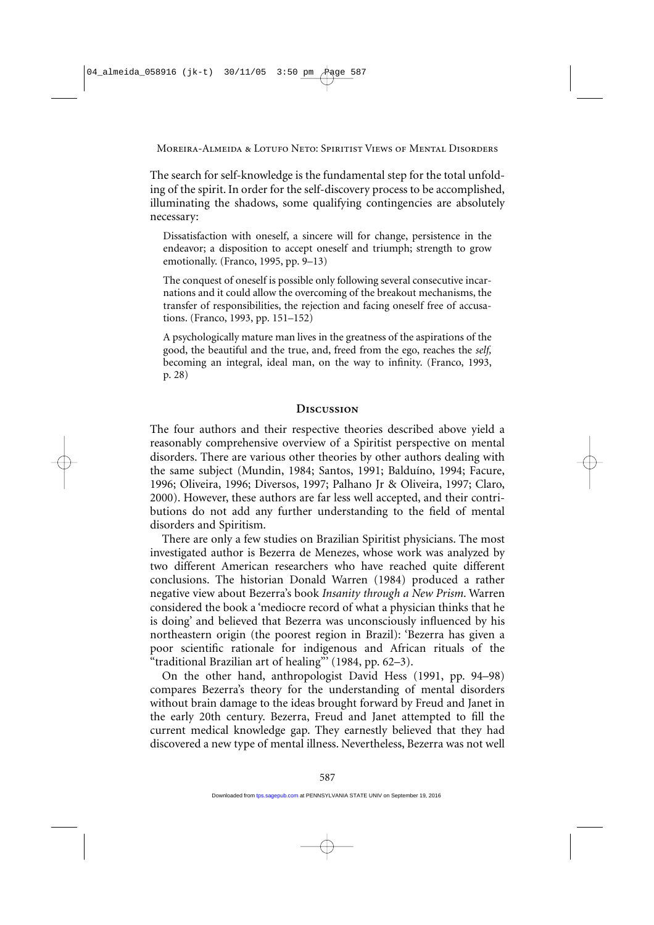The search for self-knowledge is the fundamental step for the total unfolding of the spirit. In order for the self-discovery process to be accomplished, illuminating the shadows, some qualifying contingencies are absolutely necessary:

Dissatisfaction with oneself, a sincere will for change, persistence in the endeavor; a disposition to accept oneself and triumph; strength to grow emotionally. (Franco, 1995, pp. 9–13)

The conquest of oneself is possible only following several consecutive incarnations and it could allow the overcoming of the breakout mechanisms, the transfer of responsibilities, the rejection and facing oneself free of accusations. (Franco, 1993, pp. 151–152)

A psychologically mature man lives in the greatness of the aspirations of the good, the beautiful and the true, and, freed from the ego, reaches the *self,* becoming an integral, ideal man, on the way to infinity. (Franco, 1993, p. 28)

#### **Discussion**

The four authors and their respective theories described above yield a reasonably comprehensive overview of a Spiritist perspective on mental disorders. There are various other theories by other authors dealing with the same subject (Mundin, 1984; Santos, 1991; Balduíno, 1994; Facure, 1996; Oliveira, 1996; Diversos, 1997; Palhano Jr & Oliveira, 1997; Claro, 2000). However, these authors are far less well accepted, and their contributions do not add any further understanding to the field of mental disorders and Spiritism.

There are only a few studies on Brazilian Spiritist physicians. The most investigated author is Bezerra de Menezes, whose work was analyzed by two different American researchers who have reached quite different conclusions. The historian Donald Warren (1984) produced a rather negative view about Bezerra's book *Insanity through a New Prism*. Warren considered the book a 'mediocre record of what a physician thinks that he is doing' and believed that Bezerra was unconsciously influenced by his northeastern origin (the poorest region in Brazil): 'Bezerra has given a poor scientific rationale for indigenous and African rituals of the "traditional Brazilian art of healing"  $(1984, pp. 62-3)$ .

On the other hand, anthropologist David Hess (1991, pp. 94–98) compares Bezerra's theory for the understanding of mental disorders without brain damage to the ideas brought forward by Freud and Janet in the early 20th century. Bezerra, Freud and Janet attempted to fill the current medical knowledge gap. They earnestly believed that they had discovered a new type of mental illness. Nevertheless, Bezerra was not well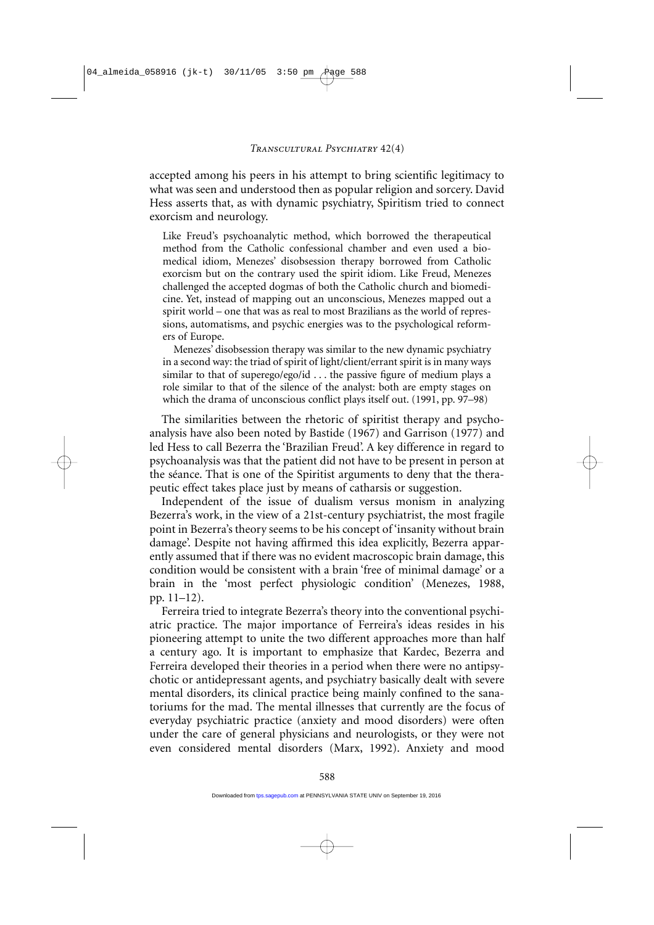accepted among his peers in his attempt to bring scientific legitimacy to what was seen and understood then as popular religion and sorcery. David Hess asserts that, as with dynamic psychiatry, Spiritism tried to connect exorcism and neurology.

Like Freud's psychoanalytic method, which borrowed the therapeutical method from the Catholic confessional chamber and even used a biomedical idiom, Menezes' disobsession therapy borrowed from Catholic exorcism but on the contrary used the spirit idiom. Like Freud, Menezes challenged the accepted dogmas of both the Catholic church and biomedicine. Yet, instead of mapping out an unconscious, Menezes mapped out a spirit world – one that was as real to most Brazilians as the world of repressions, automatisms, and psychic energies was to the psychological reformers of Europe.

Menezes' disobsession therapy was similar to the new dynamic psychiatry in a second way: the triad of spirit of light/client/errant spirit is in many ways similar to that of superego/ego/id . . . the passive figure of medium plays a role similar to that of the silence of the analyst: both are empty stages on which the drama of unconscious conflict plays itself out. (1991, pp. 97–98)

The similarities between the rhetoric of spiritist therapy and psychoanalysis have also been noted by Bastide (1967) and Garrison (1977) and led Hess to call Bezerra the 'Brazilian Freud'. A key difference in regard to psychoanalysis was that the patient did not have to be present in person at the séance. That is one of the Spiritist arguments to deny that the therapeutic effect takes place just by means of catharsis or suggestion.

Independent of the issue of dualism versus monism in analyzing Bezerra's work, in the view of a 21st-century psychiatrist, the most fragile point in Bezerra's theory seems to be his concept of 'insanity without brain damage'. Despite not having affirmed this idea explicitly, Bezerra apparently assumed that if there was no evident macroscopic brain damage, this condition would be consistent with a brain 'free of minimal damage' or a brain in the 'most perfect physiologic condition' (Menezes, 1988, pp. 11–12).

Ferreira tried to integrate Bezerra's theory into the conventional psychiatric practice. The major importance of Ferreira's ideas resides in his pioneering attempt to unite the two different approaches more than half a century ago. It is important to emphasize that Kardec, Bezerra and Ferreira developed their theories in a period when there were no antipsychotic or antidepressant agents, and psychiatry basically dealt with severe mental disorders, its clinical practice being mainly confined to the sanatoriums for the mad. The mental illnesses that currently are the focus of everyday psychiatric practice (anxiety and mood disorders) were often under the care of general physicians and neurologists, or they were not even considered mental disorders (Marx, 1992). Anxiety and mood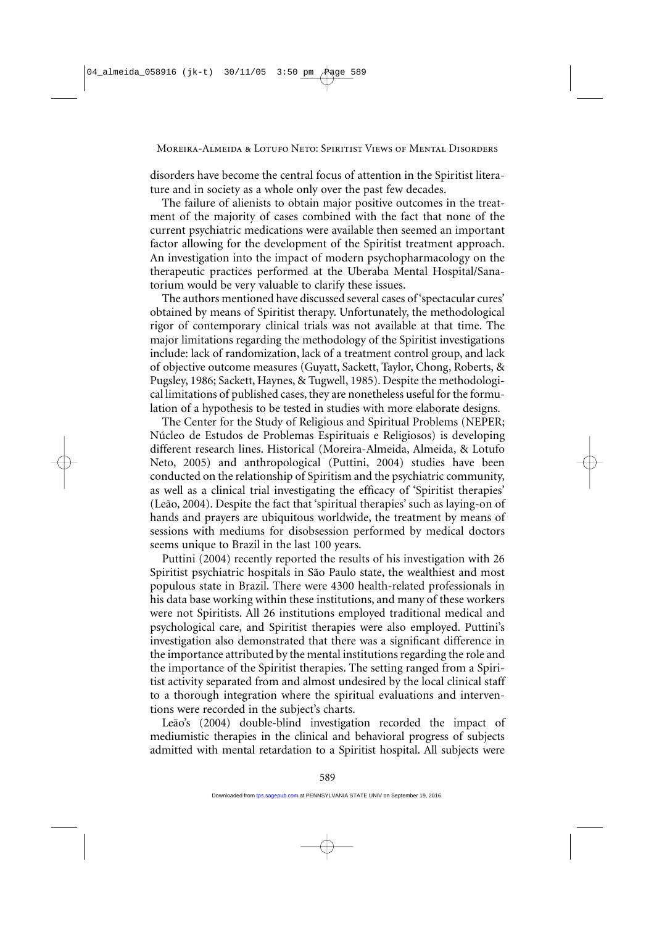disorders have become the central focus of attention in the Spiritist literature and in society as a whole only over the past few decades.

The failure of alienists to obtain major positive outcomes in the treatment of the majority of cases combined with the fact that none of the current psychiatric medications were available then seemed an important factor allowing for the development of the Spiritist treatment approach. An investigation into the impact of modern psychopharmacology on the therapeutic practices performed at the Uberaba Mental Hospital/Sanatorium would be very valuable to clarify these issues.

The authors mentioned have discussed several cases of 'spectacular cures' obtained by means of Spiritist therapy. Unfortunately, the methodological rigor of contemporary clinical trials was not available at that time. The major limitations regarding the methodology of the Spiritist investigations include: lack of randomization, lack of a treatment control group, and lack of objective outcome measures (Guyatt, Sackett, Taylor, Chong, Roberts, & Pugsley, 1986; Sackett, Haynes, & Tugwell, 1985). Despite the methodological limitations of published cases, they are nonetheless useful for the formulation of a hypothesis to be tested in studies with more elaborate designs.

The Center for the Study of Religious and Spiritual Problems (NEPER; Núcleo de Estudos de Problemas Espirituais e Religiosos) is developing different research lines. Historical (Moreira-Almeida, Almeida, & Lotufo Neto, 2005) and anthropological (Puttini, 2004) studies have been conducted on the relationship of Spiritism and the psychiatric community, as well as a clinical trial investigating the efficacy of 'Spiritist therapies' (Leão, 2004). Despite the fact that 'spiritual therapies' such as laying-on of hands and prayers are ubiquitous worldwide, the treatment by means of sessions with mediums for disobsession performed by medical doctors seems unique to Brazil in the last 100 years.

Puttini (2004) recently reported the results of his investigation with 26 Spiritist psychiatric hospitals in São Paulo state, the wealthiest and most populous state in Brazil. There were 4300 health-related professionals in his data base working within these institutions, and many of these workers were not Spiritists. All 26 institutions employed traditional medical and psychological care, and Spiritist therapies were also employed. Puttini's investigation also demonstrated that there was a significant difference in the importance attributed by the mental institutions regarding the role and the importance of the Spiritist therapies. The setting ranged from a Spiritist activity separated from and almost undesired by the local clinical staff to a thorough integration where the spiritual evaluations and interventions were recorded in the subject's charts.

Leão's (2004) double-blind investigation recorded the impact of mediumistic therapies in the clinical and behavioral progress of subjects admitted with mental retardation to a Spiritist hospital. All subjects were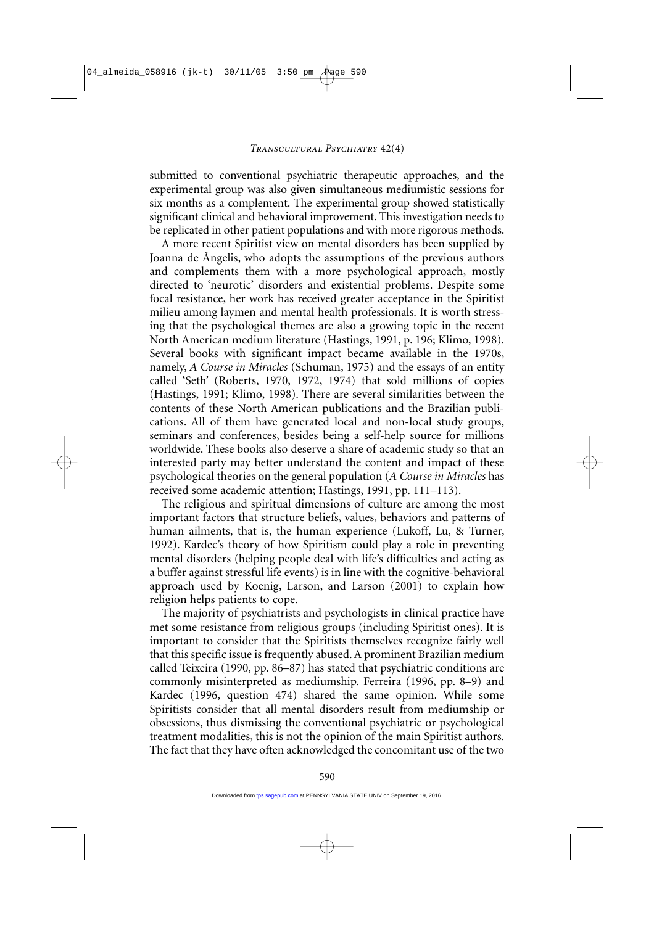submitted to conventional psychiatric therapeutic approaches, and the experimental group was also given simultaneous mediumistic sessions for six months as a complement. The experimental group showed statistically significant clinical and behavioral improvement. This investigation needs to be replicated in other patient populations and with more rigorous methods.

A more recent Spiritist view on mental disorders has been supplied by Joanna de Ângelis, who adopts the assumptions of the previous authors and complements them with a more psychological approach, mostly directed to 'neurotic' disorders and existential problems. Despite some focal resistance, her work has received greater acceptance in the Spiritist milieu among laymen and mental health professionals. It is worth stressing that the psychological themes are also a growing topic in the recent North American medium literature (Hastings, 1991, p. 196; Klimo, 1998). Several books with significant impact became available in the 1970s, namely, *A Course in Miracles* (Schuman, 1975) and the essays of an entity called 'Seth' (Roberts, 1970, 1972, 1974) that sold millions of copies (Hastings, 1991; Klimo, 1998). There are several similarities between the contents of these North American publications and the Brazilian publications. All of them have generated local and non-local study groups, seminars and conferences, besides being a self-help source for millions worldwide. These books also deserve a share of academic study so that an interested party may better understand the content and impact of these psychological theories on the general population (*A Course in Miracles* has received some academic attention; Hastings, 1991, pp. 111–113).

The religious and spiritual dimensions of culture are among the most important factors that structure beliefs, values, behaviors and patterns of human ailments, that is, the human experience (Lukoff, Lu, & Turner, 1992). Kardec's theory of how Spiritism could play a role in preventing mental disorders (helping people deal with life's difficulties and acting as a buffer against stressful life events) is in line with the cognitive-behavioral approach used by Koenig, Larson, and Larson (2001) to explain how religion helps patients to cope.

The majority of psychiatrists and psychologists in clinical practice have met some resistance from religious groups (including Spiritist ones). It is important to consider that the Spiritists themselves recognize fairly well that this specific issue is frequently abused. A prominent Brazilian medium called Teixeira (1990, pp. 86–87) has stated that psychiatric conditions are commonly misinterpreted as mediumship. Ferreira (1996, pp. 8–9) and Kardec (1996, question 474) shared the same opinion. While some Spiritists consider that all mental disorders result from mediumship or obsessions, thus dismissing the conventional psychiatric or psychological treatment modalities, this is not the opinion of the main Spiritist authors. The fact that they have often acknowledged the concomitant use of the two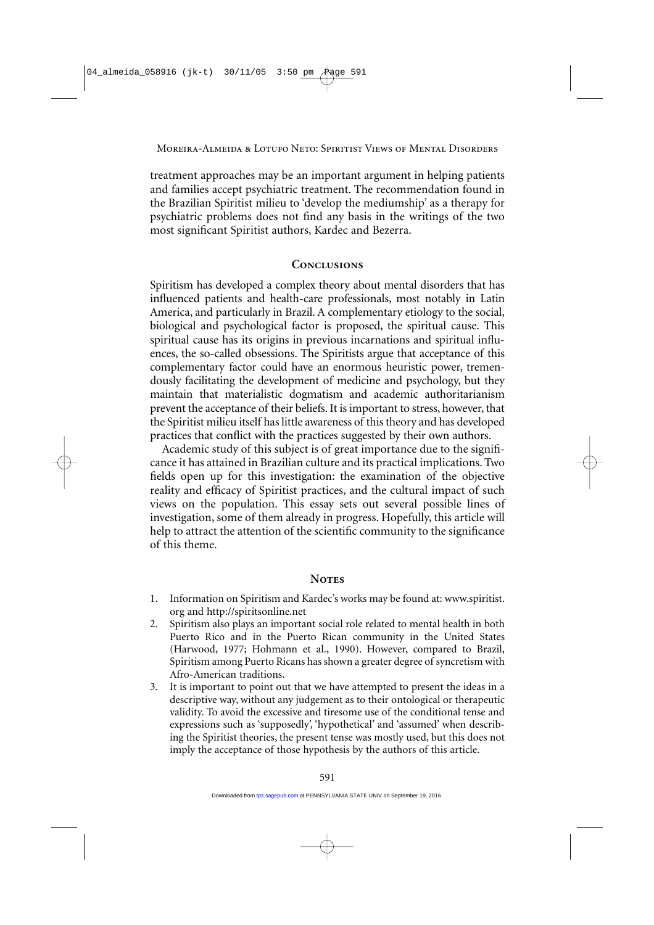treatment approaches may be an important argument in helping patients and families accept psychiatric treatment. The recommendation found in the Brazilian Spiritist milieu to 'develop the mediumship' as a therapy for psychiatric problems does not find any basis in the writings of the two most significant Spiritist authors, Kardec and Bezerra.

## **Conclusions**

Spiritism has developed a complex theory about mental disorders that has influenced patients and health-care professionals, most notably in Latin America, and particularly in Brazil. A complementary etiology to the social, biological and psychological factor is proposed, the spiritual cause. This spiritual cause has its origins in previous incarnations and spiritual influences, the so-called obsessions. The Spiritists argue that acceptance of this complementary factor could have an enormous heuristic power, tremendously facilitating the development of medicine and psychology, but they maintain that materialistic dogmatism and academic authoritarianism prevent the acceptance of their beliefs. It is important to stress, however, that the Spiritist milieu itself has little awareness of this theory and has developed practices that conflict with the practices suggested by their own authors.

Academic study of this subject is of great importance due to the significance it has attained in Brazilian culture and its practical implications. Two fields open up for this investigation: the examination of the objective reality and efficacy of Spiritist practices, and the cultural impact of such views on the population. This essay sets out several possible lines of investigation, some of them already in progress. Hopefully, this article will help to attract the attention of the scientific community to the significance of this theme.

# **Notes**

- 1. Information on Spiritism and Kardec's works may be found at: www.spiritist. org and http://spiritsonline.net
- 2. Spiritism also plays an important social role related to mental health in both Puerto Rico and in the Puerto Rican community in the United States (Harwood, 1977; Hohmann et al., 1990). However, compared to Brazil, Spiritism among Puerto Ricans has shown a greater degree of syncretism with Afro-American traditions.
- 3. It is important to point out that we have attempted to present the ideas in a descriptive way, without any judgement as to their ontological or therapeutic validity. To avoid the excessive and tiresome use of the conditional tense and expressions such as 'supposedly', 'hypothetical' and 'assumed' when describing the Spiritist theories, the present tense was mostly used, but this does not imply the acceptance of those hypothesis by the authors of this article.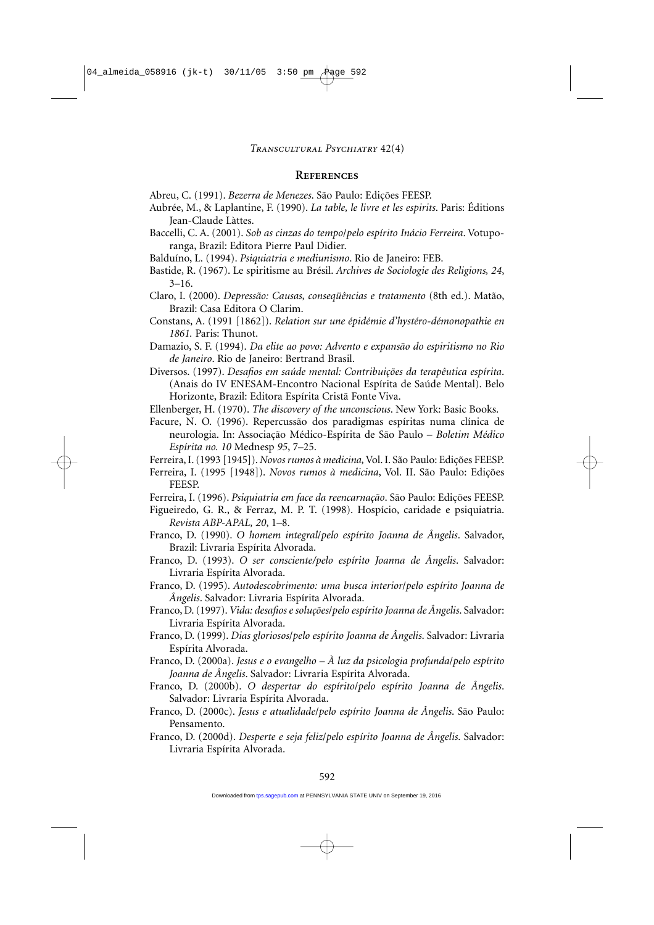#### **References**

- Abreu, C. (1991). *Bezerra de Menezes*. São Paulo: Edições FEESP.
- Aubrée, M., & Laplantine, F. (1990). *La table, le livre et les espirits*. Paris: Éditions Jean-Claude Làttes.
- Baccelli, C. A. (2001). *Sob as cinzas do tempo*/*pelo espírito Inácio Ferreira*. Votuporanga, Brazil: Editora Pierre Paul Didier.
- Balduíno, L. (1994). *Psiquiatria e mediunismo*. Rio de Janeiro: FEB.
- Bastide, R. (1967). Le spiritisme au Brésil. *Archives de Sociologie des Religions, 24*,  $3-16.$
- Claro, I. (2000). *Depressão: Causas, conseqüências e tratamento* (8th ed.). Matão, Brazil: Casa Editora O Clarim.
- Constans, A. (1991 [1862]). *Relation sur une épidémie d'hystéro-démonopathie en 1861.* Paris: Thunot.
- Damazio, S. F. (1994). *Da elite ao povo: Advento e expansão do espiritismo no Rio de Janeiro*. Rio de Janeiro: Bertrand Brasil.
- Diversos. (1997). *Desafios em saúde mental: Contribuições da terapêutica espírita*. (Anais do IV ENESAM-Encontro Nacional Espírita de Saúde Mental). Belo Horizonte, Brazil: Editora Espírita Cristã Fonte Viva.
- Ellenberger, H. (1970). *The discovery of the unconscious*. New York: Basic Books.
- Facure, N. O. (1996). Repercussão dos paradigmas espíritas numa clínica de neurologia. In: Associação Médico-Espírita de São Paulo – *Boletim Médico Espírita no. 10* Mednesp *95*, 7–25.
- Ferreira, I. (1993 [1945]). *Novos rumos à medicina,*Vol. I. São Paulo: Edições FEESP.
- Ferreira, I. (1995 [1948]). *Novos rumos à medicina*, Vol. II. São Paulo: Edições FEESP.
- Ferreira, I. (1996). *Psiquiatria em face da reencarnação*. São Paulo: Edições FEESP.
- Figueiredo, G. R., & Ferraz, M. P. T. (1998). Hospício, caridade e psiquiatria. *Revista ABP-APAL, 20*, 1–8.
- Franco, D. (1990). *O homem integral*/*pelo espírito Joanna de Ângelis*. Salvador, Brazil: Livraria Espírita Alvorada.
- Franco, D. (1993). *O ser consciente/pelo espírito Joanna de Ângelis*. Salvador: Livraria Espírita Alvorada.
- Franco, D. (1995). *Autodescobrimento: uma busca interior*/*pelo espírito Joanna de Ângelis*. Salvador: Livraria Espírita Alvorada.
- Franco, D. (1997).*Vida: desafios e soluções*/*pelo espírito Joanna de Ângelis*. Salvador: Livraria Espírita Alvorada.
- Franco, D. (1999). *Dias gloriosos*/*pelo espírito Joanna de Ângelis*. Salvador: Livraria Espírita Alvorada.
- Franco, D. (2000a). *Jesus e o evangelho À luz da psicologia profunda*/*pelo espírito Joanna de Ângelis*. Salvador: Livraria Espírita Alvorada.
- Franco, D. (2000b). *O despertar do espírito*/*pelo espírito Joanna de Ângelis*. Salvador: Livraria Espírita Alvorada.
- Franco, D. (2000c). *Jesus e atualidade*/*pelo espírito Joanna de Ângelis*. São Paulo: Pensamento.
- Franco, D. (2000d). *Desperte e seja feliz*/*pelo espírito Joanna de Ângelis*. Salvador: Livraria Espírita Alvorada.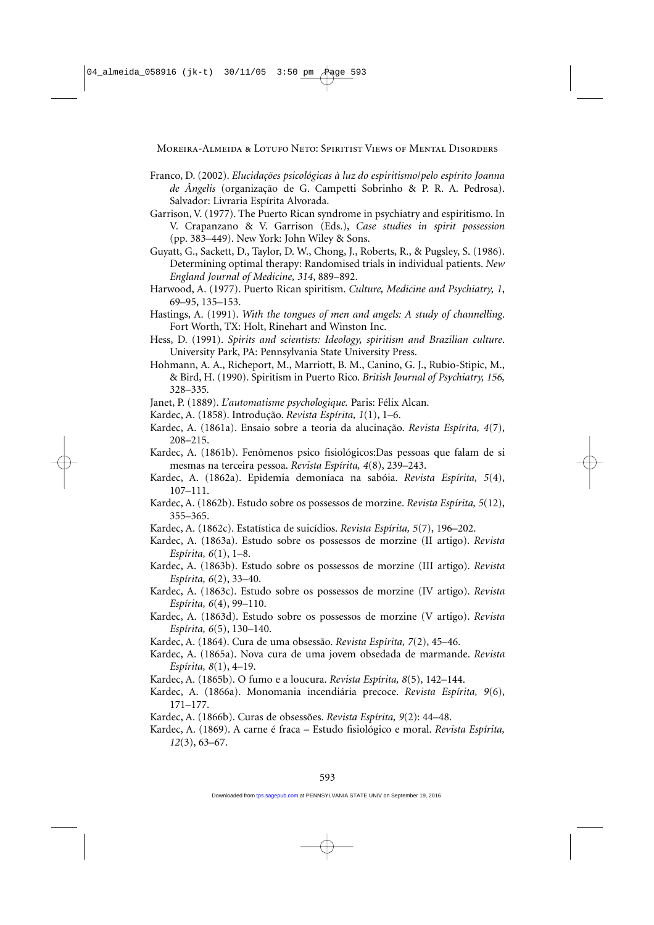- Franco, D. (2002). *Elucidações psicológicas à luz do espiritismo*/*pelo espírito Joanna de Ângelis* (organização de G. Campetti Sobrinho & P. R. A. Pedrosa). Salvador: Livraria Espírita Alvorada.
- Garrison, V. (1977). The Puerto Rican syndrome in psychiatry and espiritismo. In V. Crapanzano & V. Garrison (Eds.), *Case studies in spirit possession* (pp. 383–449). New York: John Wiley & Sons.
- Guyatt, G., Sackett, D., Taylor, D. W., Chong, J., Roberts, R., & Pugsley, S. (1986). Determining optimal therapy: Randomised trials in individual patients. *New England Journal of Medicine, 314*, 889–892.
- Harwood, A. (1977). Puerto Rican spiritism. *Culture, Medicine and Psychiatry, 1*, 69–95, 135–153.
- Hastings, A. (1991). *With the tongues of men and angels: A study of channelling*. Fort Worth, TX: Holt, Rinehart and Winston Inc.
- Hess, D. (1991). *Spirits and scientists: Ideology, spiritism and Brazilian culture*. University Park, PA: Pennsylvania State University Press.
- Hohmann, A. A., Richeport, M., Marriott, B. M., Canino, G. J., Rubio-Stipic, M., & Bird, H. (1990). Spiritism in Puerto Rico. *British Journal of Psychiatry, 156,* 328–335*.*
- Janet, P. (1889). *L'automatisme psychologique.* Paris: Félix Alcan.
- Kardec, A. (1858). Introdução. *Revista Espírita, 1*(1), 1–6.
- Kardec, A. (1861a). Ensaio sobre a teoria da alucinação. *Revista Espírita, 4*(7), 208–215.
- Kardec, A. (1861b). Fenômenos psico fisiológicos:Das pessoas que falam de si mesmas na terceira pessoa. *Revista Espírita, 4*(8), 239–243.
- Kardec, A. (1862a). Epidemia demoníaca na sabóia. *Revista Espírita, 5*(4), 107–111.
- Kardec, A. (1862b). Estudo sobre os possessos de morzine. *Revista Espírita, 5*(12), 355–365.
- Kardec, A. (1862c). Estatística de suicídios. *Revista Espírita, 5*(7), 196–202.
- Kardec, A. (1863a). Estudo sobre os possessos de morzine (II artigo). *Revista Espírita, 6*(1), 1–8.
- Kardec, A. (1863b). Estudo sobre os possessos de morzine (III artigo). *Revista Espírita, 6*(2), 33–40.
- Kardec, A. (1863c). Estudo sobre os possessos de morzine (IV artigo). *Revista Espírita, 6*(4), 99–110.
- Kardec, A. (1863d). Estudo sobre os possessos de morzine (V artigo). *Revista Espírita, 6*(5), 130–140.
- Kardec, A. (1864). Cura de uma obsessão. *Revista Espírita, 7*(2), 45–46.
- Kardec, A. (1865a). Nova cura de uma jovem obsedada de marmande. *Revista Espírita, 8*(1), 4–19.
- Kardec, A. (1865b). O fumo e a loucura. *Revista Espírita, 8*(5), 142–144.
- Kardec, A. (1866a). Monomania incendiária precoce. *Revista Espírita, 9*(6), 171–177.
- Kardec, A. (1866b). Curas de obsessões. *Revista Espírita, 9*(2): 44–48.
- Kardec, A. (1869). A carne é fraca Estudo fisiológico e moral. *Revista Espírita, 12*(3), 63–67.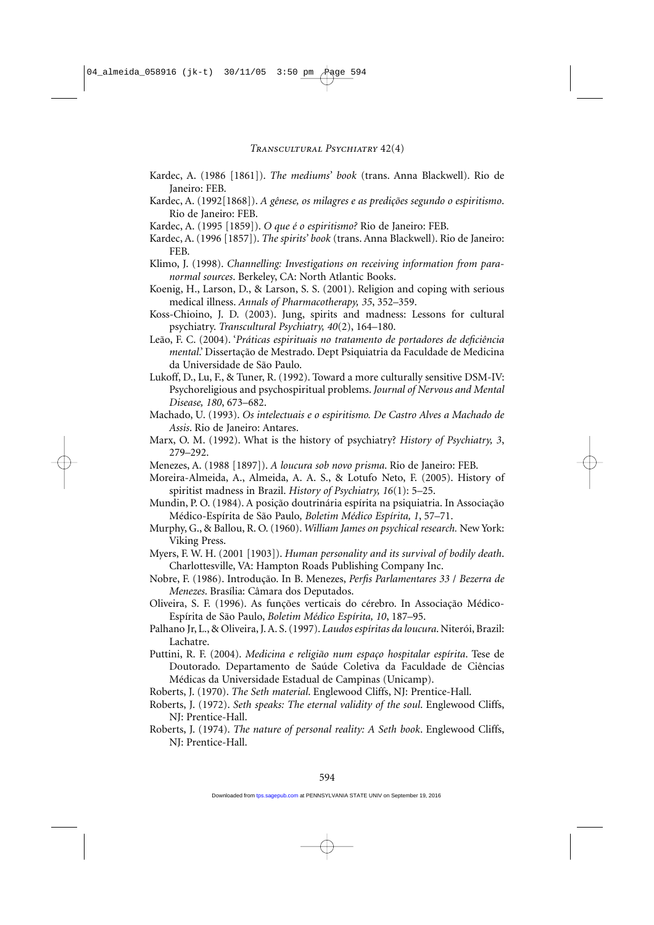- Kardec, A. (1986 [1861]). *The mediums' book* (trans. Anna Blackwell). Rio de Janeiro: FEB.
- Kardec, A. (1992[1868]). *A gênese, os milagres e as predições segundo o espiritismo*. Rio de Janeiro: FEB.
- Kardec, A. (1995 [1859]). *O que é o espiritismo?* Rio de Janeiro: FEB.
- Kardec, A. (1996 [1857]). *The spirits' book* (trans. Anna Blackwell). Rio de Janeiro: FEB.
- Klimo, J. (1998). *Channelling: Investigations on receiving information from paranormal sources*. Berkeley, CA: North Atlantic Books.
- Koenig, H., Larson, D., & Larson, S. S. (2001). Religion and coping with serious medical illness. *Annals of Pharmacotherapy, 35*, 352–359.
- Koss-Chioino, J. D. (2003). Jung, spirits and madness: Lessons for cultural psychiatry. *Transcultural Psychiatry, 40*(2), 164–180.
- Leão, F. C. (2004). '*Práticas espirituais no tratamento de portadores de deficiência mental*.' Dissertação de Mestrado. Dept Psiquiatria da Faculdade de Medicina da Universidade de São Paulo.
- Lukoff, D., Lu, F., & Tuner, R. (1992). Toward a more culturally sensitive DSM-IV: Psychoreligious and psychospiritual problems. *Journal of Nervous and Mental Disease, 180*, 673–682.
- Machado, U. (1993). *Os intelectuais e o espiritismo. De Castro Alves a Machado de Assis*. Rio de Janeiro: Antares.
- Marx, O. M. (1992). What is the history of psychiatry? *History of Psychiatry, 3*, 279–292.
- Menezes, A. (1988 [1897]). *A loucura sob novo prisma*. Rio de Janeiro: FEB.
- Moreira-Almeida, A., Almeida, A. A. S., & Lotufo Neto, F. (2005). History of spiritist madness in Brazil. *History of Psychiatry, 16*(1): 5–25.
- Mundin, P. O. (1984). A posição doutrinária espírita na psiquiatria. In Associação Médico-Espírita de São Paulo*, Boletim Médico Espírita, 1*, 57–71.
- Murphy, G., & Ballou, R. O. (1960). *William James on psychical research.* New York: Viking Press.
- Myers, F. W. H. (2001 [1903]). *Human personality and its survival of bodily death*. Charlottesville, VA: Hampton Roads Publishing Company Inc.
- Nobre, F. (1986). Introdução. In B. Menezes, *Perfis Parlamentares 33* / *Bezerra de Menezes*. Brasília: Câmara dos Deputados.
- Oliveira, S. F. (1996). As funções verticais do cérebro. In Associação Médico-Espírita de São Paulo, *Boletim Médico Espírita, 10*, 187–95.
- Palhano Jr, L., & Oliveira, J. A. S. (1997). *Laudos espíritas da loucura*. Niterói, Brazil: Lachatre.
- Puttini, R. F. (2004). *Medicina e religião num espaço hospitalar espírita*. Tese de Doutorado. Departamento de Saúde Coletiva da Faculdade de Ciências Médicas da Universidade Estadual de Campinas (Unicamp).
- Roberts, J. (1970). *The Seth material*. Englewood Cliffs, NJ: Prentice-Hall.
- Roberts, J. (1972). *Seth speaks: The eternal validity of the soul*. Englewood Cliffs, NJ: Prentice-Hall.
- Roberts, J. (1974). *The nature of personal reality: A Seth book*. Englewood Cliffs, NJ: Prentice-Hall.